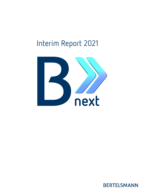# Interim Report 2021



**BERTELSMANN**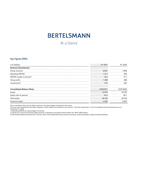## **BERTELSMANN**

At a Glance

## **Key Figures (IFRS)**

| in $\epsilon$ millions                 | H <sub>1</sub> 2021 | 2020       |
|----------------------------------------|---------------------|------------|
| <b>Business Development</b>            |                     |            |
| Group revenues                         | 8.691<br>           | .848       |
| <b>Operating EBITDA</b>                | 1,417               | 994        |
| EBITDA margin in percent <sup>1)</sup> | 16.3                |            |
| Group profit                           | .368                | 188        |
| Investments <sup>2</sup>               | 573                 | 102        |
|                                        |                     |            |
| Consolidated Balance Sheet             | 6/30/2021           | 12/31/2020 |
| Equity                                 | 12,075              | 10.725     |
| Equity ratio in percent                | 42.0                | 36.1       |
| Total assets                           | 28.725              | 29.704     |
| Economic debt <sup>3)</sup>            | 4.432               | 5,207      |

Due to rounding, there may be slight variances in the percentages calculated in this report.

The prior-year comparatives have been adjusted. Further details are presented in the section "Prior-Year Information" in the Consolidated Financial Statements as of<br>December 31, 2020.<br>1) Operating EBITDA as a percentage o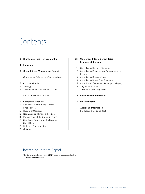# Contents

## 2 Highlights of the First Six Months

- 4 Foreword
- 6 Group Interim Management Report

Fundamental Information about the Group

- 7 Corporate Profile
- 7 Strategy
- 8 Value-Oriented Management System

Report on Economic Position

- 8 Corporate Environment
- 9 Significant Events in the Current Financial Year
- 10 Results of Operations
- 12 Net Assets and Financial Position
- 14 Performance of the Group Divisions
- 18 Significant Events after the Balance Sheet Date
- 18 Risks and Opportunities
- 19 Outlook

## 21 Condensed Interim Consolidated Financial Statements

- 21 Consolidated Income Statement
- 22 Consolidated Statement of Comprehensive Income
- 23 Consolidated Balance Sheet
- 24 Consolidated Cash Flow Statement
- 25 Consolidated Statement of Changes in Equity
- 26 Segment Information
- 27 Selected Explanatory Notes

## 39 Responsibility Statement

40 Review Report

### 41 Additional Information

41 Production Credits/Contact

## Interactive Interim Report

The Bertelsmann Interim Report 2021 can also be accessed online at [ir2021.bertelsmann.com](http://ir2021.bertelsmann.com)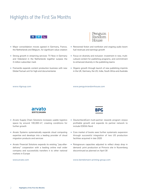## Highlights of the First Six Months



- Major consolidation moves agreed in Germany, France, the Netherlands and Belgium, for significant value creation
- Strong growth in streaming services: TV Now in Germany and Videoland in the Netherlands together surpass the 3 million subscriber mark
- Fremantle expands content production business with new Global Factual unit for high-end documentaries



- Renowned fiction and nonfiction and ongoing audio boom fuel revenues and earnings growth
- Focus on diversity and inclusion: investment in new, multicultural content for publishing programs, and commitment to enhanced diversity in the publishing teams
- Organic growth through launch of new publishing imprints in the UK, Germany, the US, India, South Africa and Australia

www.rtlgroup.com

[www.penguinrandomhouse.com](http://www.penguinrandomhouse.com)



- Arvato Supply Chain Solutions increases usable logistics space by around 100,000 m², creating conditions for further growth
- Arvato Systems systematically expands cloud computing expertise and develops into a leading provider of cloud migration products and services
- Arvato Financial Solutions expands its existing "pay-afterdelivery" cooperation with a leading online mail order company and successfully transfers it to other national markets in Europe

#### www.arvato.com



- DeutschlandCard multi-partner rewards program enjoys profitable growth and expands its partner network to include EDEKA Nord
- Core market of books sees further systematic expansion through successful integration of two US production facilities acquired in late 2020
- Rotogravure capacities adjusted to reflect sharp drop in demand: print production at Prinovis site in Nuremberg discontinued as planned on April 30

www.bertelsmann-printing-group.com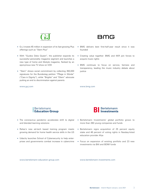

- G+J invests €5 million in expansion of its fast-growing Plus offerings such as "Stern Plus"
- With "Guidos Deko Queen", the publisher expands its successful personality magazine segment and launches a new type of home and lifestyle magazine, flanked by an eponymous new TV show on VOX
- "Stern" shows social commitment by collecting 350,000 signatures for the Bundestag petition "Pflege in Würde" ("Care in Dignity"), while "Brigitte" and "Eltern" advocate putting an end to discrimination against parents

www.guj.com

## **BMG**

- BMG delivers best first-half-year result since it was founded
- Creating value together: BMG and KKR join forces to acquire music rights
- BMG continues to focus on service, fairness and transparency, leading the music industry debate about justice

www.bmg.com



- The coronavirus pandemic accelerates shift to digital and blended learning solutions
- Relias's new ed-tech based training program meets growing demand for home health service skills in the US
- Udacity launches School of Cybersecurity to help enterprises and governments combat increase in cybercrime



- Bertelsmann Investments' global portfolio grows to more than 260 young companies and funds
- Bertelsmann signs acquisition of 25 percent equity stake and 46 percent of voting rights in Nasdaq-listed education provider Afya
- Focus on expansion of existing portfolio and 23 new investments via BAI and BDMI funds

www.bertelsmann-education-group.com

www.bertelsmann-investments.com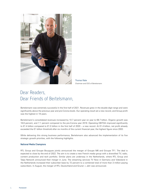

Thomas Rabe Chairman and CEO of Bertelsmann

## Dear Readers, Dear Friends of Bertelsmann,

Bertelsmann was extremely successful in the first half of 2021. Revenues grew in the double-digit range and were significantly above the previous year and pre-Corona levels. Our operating result set a new record, and Group profit was the highest in 19 years.

Bertelsmann's consolidated revenues increased by 10.7 percent year on year to €8.7 billion. Organic growth was 16.6 percent, and 7.1 percent compared to the pre-Corona year 2019. Operating EBITDA improved significantly to €1.4 billion compared to €1.0 billion in the first half of 2020 – a new record. At €1.4 billion, net profit already exceeded the €1 billion threshold after six months of the current financial year, the highest figure since 2002.

While delivering this strong business performance, Bertelsmann also advanced the implementation of its five strategic growth priorities, with the following highlights.

### **National Media Champions**

RTL Group and Groupe Bouygues jointly announced the merger of Groupe M6 and Groupe TF1. The deal is expected to close by the end of 2022. The aim is to create a new French media group with a diversified TV, radio, content production and tech portfolio. Similar plans are underway in the Netherlands, where RTL Group and Talpa Network announced their merger in June. The streaming services TV Now in Germany and Videoland in the Netherlands increased their subscriber base by 72 percent to a combined total of more than 3 million paying subscribers. In August, the merger of RTL Deutschland and Gruner + Jahr was announced.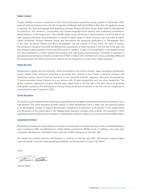### **Global Content**

Penguin Random House's acquisition of the Simon & Schuster publishing group, agreed in November 2020, received antitrust clearance from the UK Competition & Markets Authority (CMA) in May. The US regulatory review is ongoing. The Spanish-language book publishing business Penguin Random House Grupo Editorial strengthened its position in the children's, young-adult and Catalan-language book sectors with publishing acquisitions. Barack Obama's "A Promised Land" sold 750,000 copies across all formats in North America in the first half of the year, bringing total sales since publication to almost 5 million copies in North America, and more than 8 million copies worldwide. Penguin Random House also announced the upcoming publications of "Renegades: Born in the USA" by Barack Obama and Bruce Springsteen, and the memoir of Prince Harry, the Duke of Sussex. The production company Fremantle completed three acquisitions or share increases in the first half of the year, and also achieved organic growth of more than 30 percent. In addition, as part of its growth plan, a new Global Factual unit was established to further expand the business with high-quality documentaries. Fremantle is expected to generate annual revenues of €3 billion by the end of 2025. In March 2021, Bertelsmann's music subsidiary BMG and the private equity firm KKR announced an alliance for the acquisition of major music rights packages.

## **Global Services**

Bertelsmann's global services activities, which are pooled in the Arvato division, again developed dynamically. Arvato Supply Chain Solutions benefited in particular from growth in the IT/tech, consumer products and healthcare sectors, Arvato Financial Solutions in the "pay-after-delivery" segment. Microsoft recognized the IT service provider Arvato Systems as a top partner with 16 gold recognitions and one silver recognition. The global customer experience company Majorel grew significantly in the first half of the year, driven by business with global customers. The Bertelsmann Printing Group enhanced its position in the US with the integration of two production sites acquired in 2020.

#### **Online Education**

The online courses offered by the e-learning provider Relias and by Alliant International University continued to be in high demand. The online education provider Udacity, in which Bertelsmann owns a stake, also saw growing interest in its Nanodegree courses. In August, Bertelsmann completed the acquisition of 25 percent of the capital shares and 46 percent of the voting rights in the Nasdaq-listed education company Afya in Brazil. This acquisition, which significantly expands Bertelsmann's footprint in the Brazilian education market, has a volume of around €500 million.

## **Investment Portfolio**

Bertelsmann Investments made 46 new and follow-on investments in the past half-year, mostly via the Bertelsmann Asia Investments (BAI) and Bertelsmann Digital Media Investments (BDMI) funds. In addition, nine exits were completed; Bertelsmann Investments had a total net of 269 holdings as of June 30, 2021.

We expect this positive business performance to continue for the full year 2021. Bertelsmann expects higher revenues overall, continued high operating profitability and Group profit of close to €2 billion.

Yours,

- Tobe

Thomas Rabe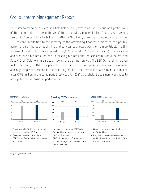## Group Interim Management Report

Bertelsmann recorded a successful first half of 2021, exceeding the revenue and profit levels of the period prior to the outbreak of the coronavirus pandemic. The Group saw revenues rise by 10.7 percent to €8.7 billion (H1 2020: €7.8 billion), driven by strong organic growth of 16.6 percent. In addition to the recovery of the advertising-financed businesses, the positive performance of the book publishing and services businesses was the main contributor to this increase. Operating EBITDA increased to €1,417 million (H1 2020: €994 million). The television and production business, the book publishing business and the services business Majorel and Supply Chain Solutions in particular saw strong earnings growth. The EBITDA margin improved to 16.3 percent (H1 2020: 12.7 percent). Driven by the positive operating earnings development and high disposal proceeds in the reporting period, Group profit increased to  $\epsilon$ 1,368 million after €488 million in the same period last year. For 2021 as a whole, Bertelsmann continues to anticipate positive business performance.



- Revenue up by 10.7 percent, organic revenue growth of 16.6 percent
- Revenue increases primarily at RTL Group, Penguin Random House and Arvato



- Increase in operating EBITDA by €423 million to a new record level of €1,417 million
- EBITDA margin of 16.3 percent, 3.6 percentage points above same period last year





- Group profit more than doubled to €1,368 million
- Improved operating development and high earnings contribution from disposal proceeds

1) Figure adjusted for H1 2020.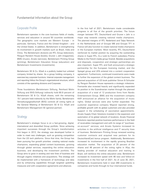## Corporate Profile

Bertelsmann operates in the core business fields of media, services and education in around 50 countries worldwide. The geographic core markets are Western Europe – in particular, Germany, France and the United Kingdom – and the United States. In addition, Bertelsmann is strengthening its involvement in growth markets such as Brazil, India and China. The Bertelsmann divisions are RTL Group (television), Penguin Random House (books), Gruner + Jahr (magazines), BMG (music), Arvato (services), Bertelsmann Printing Group (printing), Bertelsmann Education Group (education) and Bertelsmann Investments (investments).

Bertelsmann SE & Co. KGaA is a publicly traded but unlisted company limited by shares. As a group holding company, it exercises key corporate functions. Internal corporate management and reporting follow the Group's organizational structure, which consists of the operating divisions and Corporate.

Three foundations (Bertelsmann Stiftung, Reinhard Mohn Stiftung and BVG-Stiftung) indirectly hold 80.9 percent of Bertelsmann SE & Co. KGaA shares, with the remaining 19.1 percent held indirectly by the Mohn family. Bertelsmann Verwaltungsgesellschaft (BVG) controls all voting rights at the General Meeting of Bertelsmann SE & Co. KGaA and Bertelsmann Management SE (general partner).

## **Strategy**

Bertelsmann's strategic focus is on a fast-growing, digital, international and diversified Group portfolio. Since achieving important successes through the Group's transformation first begun in 2012, the strategy was developed further in order to meet new challenges, such as growing competition from the US tech platforms. Since that time, the Group has been pursuing five growth priorities: creating national media champions, expanding global content businesses, growing through global services, expanding the online education business, and developing the investment portfolio. The Group aims to grow in existing and new lines of business and through organic initiatives and acquisitions. This strategy will be implemented with a framework of technology and data and by enhancing capabilities through targeted upskilling measures and with cooperation agreements and alliances.

In the first half of 2021, Bertelsmann made considerable progress in all five of the growth priorities. The future merger between RTL Deutschland and Gruner + Jahr is a major step towards creating national media champions. The planned mergers of RTL Nederland and Talpa Network in the Netherlands and of Groupe M6 and Groupe TF1 in France will also function to create national media champions in the European markets. Most recently, RTL Deutschland reinforced its market position by acquiring the outstanding shares in Super RTL; G+J sold its French subsidiary Prisma Media to the French media group Vivendi. Besides acquisitions and disposals, cooperation and strategic partnerships are also important. Super RTL and Gulli announced a strategic partnership for the European licensing market, and the Spiegel group and UFA entered into a content cooperation agreement. Furthermore, continued investments were made to further the expansion of the global content business. The planned acquisition of US book publisher Simon & Schuster by Penguin Random House represents a strategic milestone. Fremantle also invested heavily and significantly expanded its position in the Scandinavian market through the planned acquisition of a total of 12 production firms from Nordic Entertainment Group. BMG and the investment company KKR announced an alliance for the acquisition of music rights. Global services were also further expanded. The customer experience company Majorel reported strong, profitable growth with its global customers and also provided support in the scheduling of vaccination appointments. Arvato Supply Chain Solutions invested in the expansion and automation of its global network of locations. Arvato Financial Solutions reported positive business performance in the field of receivables management and with its range of "purchaseon-account" services, and Arvato Systems increased its activities in the artificial intelligence and IT security lines of business. Bertelsmann Printing Group renewed existing customer contracts and acquired new partners for its DeutschlandCard bonus program. Additionally, Bertelsmann increased its involvement in the rapidly growing Brazilian education market. The acquisition of 25 percent of the shares and 46 percent of the voting rights in Afya, the leading provider of medical education and training in Brazil, will reinforce the online education area. Bertelsmann increased its investment speed with 46 new and follow-on investments in the first half of 2021. As of June 30, 2021, Bertelsmann Investments held in total 269 investments in companies and funds through its four international funds.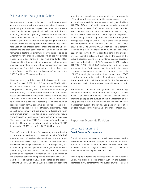## Value-Oriented Management System

Bertelsmann's primary objective is continuous growth of the company's value through a sustained increase in profitability with efficient capital investment at the same time. Strictly defined operational performance indicators, including revenues, operating EBITDA and Bertelsmann Value Added (BVA), are used to directly assess current business performance and are correspondingly used in the outlook. These are distinguished from performance indicators used in the broader sense. These include the EBITDA margin and the cash conversion rate. Some of the key performance indicators are determined on the basis of so-called Alternative Performance Measures, which are not defined under International Financial Reporting Standards (IFRS). These should not be considered in isolation but as complementary information for evaluating Bertelsmann's business performance. For detailed information on this, please refer to the "Alternative Performance Measures" section in the 2020 Combined Management Report.

Revenues as a growth indicator of the businesses increased in the first half of 2021 by 10.7 percent to €8,691 million (H1 2020: €7,848 million). Organic revenue growth was 16.6 percent. Operating EBITDA is determined as earnings before interest, tax, depreciation, amortization, impairment losses and reversals of impairment losses, and is adjusted for special items. The adjustments for special items serve to determine a sustainable operating result that could be repeated under normal economic circumstances and is not affected by special factors or structural distortions. These special items primarily include impairment losses and reversals of impairment losses, fair value measurements, results from disposals of investments and/or restructuring expenses. This means operating EBITDA is a meaningful performance indicator. During the reporting period, operating EBITDA increased to €1,417 million (H1 2020: €994 million).

The performance indicator for assessing the profitability from operations and return on invested capital is BVA. BVA measures the profit realized above and beyond the appropriate return on invested capital. This form of value orientation is reflected in strategic investment and portfolio planning and in the management of operations and, together with qualitative criteria, provides the basis for measuring the variable portion of management remuneration. BVA is calculated as the difference between net operating profit after tax (NOPAT) and the cost of capital. NOPAT is calculated on the basis of operating EBITDA. Operating EBIT is the result of deducting

amortization, depreciation, impairment losses and reversals of impairment losses on intangible assets, property, plant and equipment, and right-of-use assets totaling €415 million (H1 2020: €436 million), which were not included in special items. A flat tax rate of 30 percent was assumed in order to calculate NOPAT of €702 million (H1 2020: €391 million), which is used to calculate BVA. Cost of capital is the product of the average level of capital invested and the weighted average cost of capital (WACC). The average level of capital invested totaled €15.8 billion as of June 30, 2021 (H1 2020: €16.4 billion). The uniform WACC after taxes is 8 percent, resulting in a cost of capital of €630 million (H1 2020: €657 million) in the half-year reporting period. The average invested capital is calculated quarterly on the basis of the Group's operating assets less non-interest-bearing operating liabilities. In the first half of 2021, BVA rose to €121 million (H1 2020: €-222 million). BVA is determined without taking into account the Bertelsmann Investments division, since business performance is represented primarily on the basis of EBIT. Accordingly, the method does not include a NOPAT contribution from this division. To maintain consistency, the invested capital will be adjusted for the Bertelsmann Investment division; hence, capital costs will be neutralized.

Bertelsmann's financial management and controlling system is defined by the internal financial targets outlined in the "Net Assets and Financial Position" section. These financing principles are pursued in the management of the Group and are included in the broadly defined value-oriented management system. The key financing and leverage ratios are also included in the Alternative Performance Measures.

## **Report on Economic Position**

## Corporate Environment **Overall Economic Developments**

The global economic recovery is still progressing despite renewed pandemic-related disruptions. However, disparities in economic dynamics have increased between countries. Economies are increasingly returning to normal, above all in those countries with high vaccination rates.

According to Eurostat, the statistical office of the European Union, real gross domestic product (GDP) in the eurozone decreased by 0.3 percent in the first quarter of 2021 compared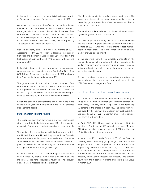to the previous quarter. According to initial estimates, growth of 2.0 percent is expected for the second quarter of 2021.

Germany's economy also benefited as restrictions implemented to slow the spread of the coronavirus pandemic were gradually lifted towards the middle of the year. Real GDP fell by 2.1 percent in the first quarter of 2021 compared to the previous quarter. According to the initial calculations of the German Federal Statistical Office, real GDP grew by 1.6 percent in the second quarter of 2021.

France's economy stabilized in the early months of 2021. According to INSEE, the French National Institute of Statistics and Economic Studies, real GDP was flat in the first quarter of 2021 and rose by 0.9 percent in the second quarter of 2021.

In the United Kingdom, the economy suffered under extensive coronavirus-related restrictions in the first half of 2021. Real GDP fell by 1.6 percent in the first quarter of 2021, and grew by 4.8 percent in the second quarter of 2021.

The growth trend in the United States continued. Real GDP rose in the first quarter of 2021 at an annualized rate of 6.3 percent. In the second quarter of 2021, real GDP increased by an annualized rate of 6.5 percent according to initial calculations by the Bureau of Economic Analysis.

So far, the economic developments are mainly in the range of the current-year trend anticipated in the 2020 Combined Management Report.

#### **Developments in Relevant Markets**

The European television advertising markets experienced strong growth in the first six months of 2021. The streaming markets in Germany and the Netherlands also grew strongly.

The markets for printed books exhibited strong growth in the United States, the United Kingdom and the Spanishspeaking region, while growth was moderate in Germany. The market for e-books was stable in the United States and grew moderately in the United Kingdom. In both countries the digital audiobook market grew strongly.

In the first half of 2021, the German magazine market was characterized by stable print advertising revenues and moderately declining circulation revenues. The relevant digital markets reported significant growth.

Global music publishing markets grew moderately. The global recorded-music markets grew strongly as strong streaming growth more than offset the significant drop in physical recorded music.

The service markets relevant to Arvato showed overall significant growth in the first half of 2021.

The relevant gravure printing markets in Germany, France and the United Kingdom declined strongly in the first six months of 2021, while the corresponding offset markets declined moderately. The North American book printing market showed strong growth.

In the reporting period, the education markets in the United States exhibited moderate to strong growth in the market segments where Bertelsmann is involved – namely, training in healthcare, e-learning in the area of technology and university education.

So far, the developments in the relevant markets are overall above the current-year trend anticipated in the 2020 Combined Management Report.

## Significant Events in the Current Financial Year

In March 2021, Bertelsmann announced the signing of an agreement with its former joint venture partner The Walt Disney Company for the acquisition of the remaining 50 percent of the shares in Super RTL. The transaction was approved by the German and Austrian antitrust authorities and closed on July 1, 2021. Since that time, RTL Group holds 100 percent of Super RTL.

In April 2021, RTL Group sold the interest held in its subsidiary SpotX to the US ad-tech company Magnite. RTL Group received a cash payment of €585 million and 12.4 million shares of Magnite stock.

In early May 2021, Núria Cabutí, CEO of the Spanishspeaking book publishing group Penguin Random House Grupo Editorial, was appointed to the Bertelsmann Supervisory Board effective June 1, 2021. She will be a member of this oversight board in her role as representative of the Bertelsmann executives. In this capacity, Núria Cabutí succeeds Ian Hudson, who stepped down from the Supervisory Board after leaving the Group in March 2020.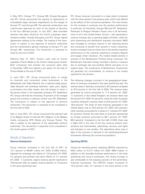In May 2021, Groupe TF1, Groupe M6, Groupe Bouygues and RTL Group announced the signing of agreements to immediately begin exclusive negotiations for the merger of Groupe TF1 and Groupe M6. The planned combination was unanimously approved by each of the boards of directors of the four affected groups. In July 2021, after favorable opinions had been issued by the French employee representative bodies, Groupe Bouygues and RTL Group signed agreements relating to the merger. The closing of the transaction is subject to the approval of antitrust authorities and the extraordinary general meetings of Groupe TF1 and Groupe M6, respectively. The transaction is expected to close by the end of 2022.

Effective May 31, 2021, Gruner + Jahr sold its French subsidiary Prisma Media to the French media group Vivendi. Both companies had entered into exclusive sales talks in December 2020 and signed a put option for the sale of Prisma Media at the end of 2020.

In June 2021, RTL Group announced plans to merge its channels and connected media businesses in the Netherlands with Talpa Network into a national media group. Talpa Network will contribute television, radio, print, digital, e-commerce and other assets, and will receive in return a 30 percent share in the expanded company RTL Nederland. RTL Group will hold the remaining 70 percent of the merged group and continue to exercise control over RTL Nederland. The transaction is subject to the approval of antitrust authorities. The transaction is expected to be completed in the first half of 2022.

Also in June 2021, RTL Group announced the planned sale of its Belgian family of channels RTL Belgium to the Belgian media companies DPG Media and Groupe Rossel. The sale is subject to the approval of the responsible antitrust authorities. The transaction is expected to be completed in the fourth quarter of 2021.

## Results of Operations **Revenue Development**

Group revenues increased in the first half of 2021 by 10.7 percent to €8,691 million (H1 2020: €7,848 million). Adjusted for exchange rate effects of -2.8 percent (H1 2020: 0.2 percent) and portfolio and other effects of -3.1 percent (H1 2020: -1.2 percent), organic revenue growth improved to 16.6 percent after an organic revenue decline of 7.9 percent in the same period last year.

RTL Group revenues recovered to a large extent compared with the same period in the previous year, which was defined by the effects of the coronavirus pandemic. The main drivers for the increase in revenues was the positive performance in particular of Fremantle, Groupe M6 and RTL Nederland. Revenues at Penguin Random House rose in all territories, most of all in the United States. Gruner + Jahr generated a revenue increase due to growing digital activities, while the print advertising and distribution business recovered. BMG also managed to increase revenue in the reporting period and continued to benefit from growth in music streaming. Arvato increased revenue mainly due to the positive business performance of the customer experience company Majorel and Supply Chain Solutions. The market-related decline in revenue of the Bertelsmann Printing Group continued. The Bertelsmann Education Group recorded a decline in revenue due to exchange rate and portfolio effects and grew on an organic basis. The investments of Bertelsmann Investments are generally not consolidated, so revenue is not usually reported for this division.

The following changes occurred in the geographical breakdown of revenues compared to the same period last year. The revenue share in Germany amounted to 30.3 percent compared to 32.0 percent in the first half of 2020. The revenue share generated by France amounted to 11.4 percent (H1 2020: 11.3 percent). In the United Kingdom, the revenue share was 6.6 percent (H1 2020: 6.2 percent), while the other European countries achieved a revenue share of 20.0 percent (H1 2020: 18.8 percent). The share of total revenues generated in the United States rose to 24.6 percent (H1 2020: 25.5 percent); other countries accounted for a share of 7.1 percent (H1 2020: 6.2 percent). Overall, the total share of revenues represented by foreign business amounted to 69.7 percent (H1 2020: 68.0 percent). Compared to the first half of 2020, there was a slight shift in the ratio of the four revenue streams (own products and merchandise, advertising, services, and rights and licenses) to one another. The advertising share rose in light of the recovery in demand in the advertising-financed businesses following the coronavirus pandemic.

## **Operating EBITDA**

During the reporting period, operating EBITDA improved by €423 million to €1,417 million (H1 2020: €994 million). In addition to the favorable business performance in the book publishing and service businesses, the strong increase is also attributable to the ongoing recovery of the advertisingfinanced businesses. The EBITDA margin increased to 16.3 percent, after 12.7 percent in the same period of the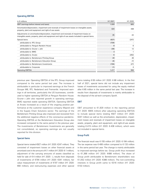## **Operating EBITDA**

| in $\epsilon$ millions                                                                                                                                                                           | H1 2021 | H <sub>1</sub> 2020 |
|--------------------------------------------------------------------------------------------------------------------------------------------------------------------------------------------------|---------|---------------------|
| EBIT (earnings before interest and taxes)                                                                                                                                                        | 1.929   | 805                 |
| Amortization/depreciation, impairment and reversals of impairment losses on intangible assets,<br>property, plant and equipment and right-of-use assets                                          | 424     | 438                 |
| Adjustments on amortization/depreciation, impairment and reversals of impairment losses on<br>intangible assets, property, plant and equipment and right-of-use assets included in special items | (9)     | (2)                 |
| Special items                                                                                                                                                                                    | (927)   | l'24 I              |
| attributable to: RTL Group                                                                                                                                                                       | (726)   |                     |
| attributable to: Penguin Random House                                                                                                                                                            | 8       |                     |
| attributable to: Gruner + Jahr                                                                                                                                                                   | (39)    |                     |
| attributable to: BMG                                                                                                                                                                             | З       |                     |
| attributable to: Arvato                                                                                                                                                                          | 6       | 262                 |
| attributable to: Bertelsmann Printing Group                                                                                                                                                      | 20      |                     |
| attributable to: Bertelsmann Education Group                                                                                                                                                     | (4)     |                     |
| attributable to: Bertelsmann Investments                                                                                                                                                         | (194)   | (27)                |
| attributable to: Corporate                                                                                                                                                                       | (1)     |                     |
| <b>Operating EBITDA</b>                                                                                                                                                                          | 1,417   | 994                 |

previous year. Operating EBITDA of the RTL Group improved compared to the same period last year. The increase is attributable in particular to improved earnings at the French Groupe M6, RTL Nederland and Fremantle. Improved earnings in all territories, particularly the US businesses, contributed to higher operating EBITDA at Penguin Random House. Gruner + Jahr also reported growth in operating earnings. BMG reported stable operating EBITDA. Operating EBITDA at Arvato increased as a result of the ongoing positive performance at the customer experience company Majorel and in the Supply Chain Solutions sector. The earnings of the Bertelsmann Printing Group also improved and recovered from the additional negative effects of the coronavirus pandemic. Operating EBITDA at the Bertelsmann Education Group also increased compared to the same period in the previous year. The investments of Bertelsmann Investments are generally not consolidated, so operating earnings are not usually reported for this division.

#### **Special Items**

Special items totaled €927 million (H1 2020: €247 million). They consisted of impairment losses on other financial assets at amortized cost in the amount of €-1 million (H1 2020: €-1 million), adjustment of the carrying amounts of assets classified as held for sale of €-4 million (H1 2020: –), results from disposals of investments of €794 million (H1 2020: €341 million), fair value measurement of investments of €197 million (H1 2020: €60 million), and restructuring expenses and other special items totaling €-59 million (H1 2020: €-88 million). In the first half of 2021, special items did not include any impairment losses of investments accounted for using the equity method after €-65 million in the same period last year. The increase in results from disposals of investments is mainly attributable to the disposal of the ad-tech company SpotX.

### **EBIT**

EBIT amounted to  $£1,929$  million in the reporting period (H1 2020: €805 million) after adjusting operating EBITDA to include special items totaling €927 million (H1 2020: €247 million) as well as the amortization, depreciation, impairment losses and reversals of impairment losses on intangible assets, property, plant and equipment, and right-of-use assets totaling €-415 million (H1 2020: €-436 million), which were not included in special items.

## **Group Profit**

The financial result was €-155 million (H1 2020: €-184 million). The tax expense was  $\epsilon$ -406 million compared to  $\epsilon$ -133 million in the same period last year. The change is mainly attributable to improved earnings before tax. Group profit thus increased to €1,368 million (H1 2020: €488 million). The share of Group profit attributable to Bertelsmann shareholders was €1,052 million (H1 2020: €386 million). The non-controlling interests in Group profit came to €316 million (H1 2020: €102 million).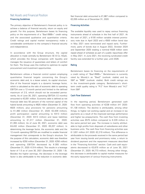## Net Assets and Financial Position **Financing Guidelines**

The primary objective of Bertelsmann's financial policy is to achieve a balance of financial security, return on equity and growth. For this purpose, Bertelsmann bases its financing policy on the requirements of a "Baa1/BBB+" credit rating and the associated qualitative and quantitative criteria. Credit ratings and capital market transparency make a considerable contribution to the company's financial security and independence.

In accordance with the Group structure, the capital allocation is made centrally by Bertelsmann SE & Co. KGaA, which provides the Group companies with liquidity and manages the issuance of guarantees and letters of comfort for them. The Group uses this method to optimize its capital procurement and investment opportunities.

Bertelsmann utilizes a financial control system employing quantitative financial targets concerning the Group's economic debt and, to a lesser extent, its capital structure. One of the financial targets is a dynamic leverage factor, which is calculated as the ratio of economic debt to operating EBITDA over a 12-month period and limited to the defined maximum of 2.5, which should not be exceeded permanently. As of June 30, 2021, operating EBITDA (12 months) amounted to €3,551 million. Economic debt is defined as net financial debt less 50 percent of the nominal capital of the hybrid bonds amounting to €625 million (December 31, 2020: €625 million), plus provisions for pensions amounting to €1,460 million (December 31, 2020: €2,009 million), profit participation capital amounting to €413 million (December 31, 2020: €413 million) and lease liabilities amounting to €1,317 million (December 31, 2020: €1,355 million). As of June 30, 2021, economic debt was €4,432 million (December 31, 2020: €5,207 million). In determining the leverage factor, the economic debt and the 12-month operating EBITDA are modified to enable financial management that corresponds to the Group's structure. For the purpose of this calculation, economic debt was therefore increased by €250 million (December 31, 2020: €250 million) and operating EBITDA decreased by €-355 million (December 31, 2020: €-314 million). This results in a leverage factor of 1.5 as of June 30, 2021 (December 31, 2020: 1.9). Besides the higher earnings, the decrease in the leverage factor is also attributable to the reduction in economic debt.

Net financial debt amounted to €1,867 million compared to €2,055 million as of December 31, 2020.

## **Financing Activities**

The available liquidity was used to repay various financing instruments ahead of schedule in the first half of 2021. At the start of 2021, a €100 million variable interest promissory note due in April 2023 and a €500 million bond due in May 2021 were terminated and repaid early. Furthermore, parts of bonds due in August 2022, October 2024 and September 2025 totaling a nominal €428 million were repaid ahead of schedule as part of a public repurchase offer in May 2021. In June 2021, the revolving syndicated credit facility was extended for a further year, until 2026.

### **Rating**

Bertelsmann bases its financing on the requirements of a credit rating of "Baa1/BBB+." Bertelsmann is currently rated by Moody's as "Baa2" (outlook: stable) and by S&P as "BBB" (outlook: stable). Both credit ratings are in the investment-grade category. Bertelsmann's shortterm credit quality rating is "P-2" from Moody's and "A-2" from S&P.

### **Cash Flow Statement**

In the reporting period, Bertelsmann generated cash flow from operating activities of €238 million (H1 2020: €1,138 million). The decline is attributable, among other things, to higher net working capital and an increase in tax payments as a result of the improved earnings performance and higher tax prepayments. The cash flow from investing activities was €575 million compared to €-229 million in the same period last year. The increase is mainly attributable to high profits from disposals of subsidiaries and other business units. The cash flow from financing activities was €-1,831 million (H1 2020: €2,219 million). This difference is attributable to the proceeds received in the same period last year from issuing bonds and promissory notes, a return to dividend payment and the repayment measures described in the "Financing Activities" section. Cash and cash equivalents decreased to €3,675 million as of June 30, 2021 (December 31, 2020: €4,773 million). Among other things, this decrease is attributable to capital market measures for the early repayment of various financing instruments.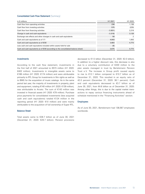#### **Consolidated Cash Flow Statement** (Summary)

| in $\epsilon$ millions                                                             |         | -2020         |
|------------------------------------------------------------------------------------|---------|---------------|
| Cash flow from operating activities                                                |         | 138           |
| Cash flow from investing activities                                                | 575     |               |
| Cash flow from financing activities                                                | 11 831) |               |
| Change in cash and cash equivalents                                                | (1.018) | .128          |
| Exchange rate effects and other changes in cash and cash equivalents               | 58      |               |
| Cash and cash equivalents as of 1/1                                                |         |               |
| Cash and cash equivalents as of 6/30                                               | 3 683   | $\frac{1}{3}$ |
| Less cash and cash equivalents included within assets held for sale                |         |               |
| Cash and cash equivalents as of 6/30 (according to the consolidated balance sheet) | 3 675   |               |

## **Investments**

According to the cash flow statement, investments in the first half of 2021 amounted to €573 million (H1 2020: €402 million). Investments in intangible assets came to €166 million (H1 2020: €174 million) and were attributable primarily to RTL Group for investments in film rights as well as to BMG for the acquisition of music catalogs. As in the same period last year, the majority of investments in property, plant and equipment, totaling €140 million (H1 2020: €139 million), was attributable to Arvato. The sum of €143 million was invested in financial assets (H1 2020: €79 million). Purchase price payments for consolidated investments (less acquired cash and cash equivalents) totaled €124 million in the reporting period (H1 2020: €10 million) and were mainly attributable to the acquisition of full ownership of Super RTL.

#### **Balance Sheet**

Total assets came to €28.7 billion as of June 30, 2021 (December 31, 2020: €29.7 billion). Pension provisions

decreased to €1.5 billion (December 31, 2020: €2.0 billion). In addition to a higher discount rate, this decrease is also due to a voluntary contribution of €200 million to the plan assets managed in trust by Bertelsmann Pension Trust e.V. The increase in Group profit caused equity to rise to €12.1 billion compared to €10.7 billion as of December 31, 2020. This resulted in an equity ratio of 42.0 percent (December 31, 2020: 36.1 percent). Cash and cash equivalents decreased to €3.7 billion as of June 30, 2021, from €4.6 billion as of December 31, 2020. Among other things, this is due to the capital market transactions to repay various financing instruments ahead of schedule mentioned in the "Financing Activities" section.

#### **Employees**

As of June 30, 2021, Bertelsmann had 138,567 employees worldwide.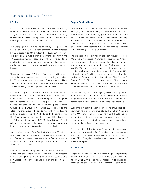## Performance of the Group Divisions

## **RTL Group**

RTL Group reported a strong first half of the year, with strong revenue and earnings growth, mainly due to rising TV advertising revenue. At the same time, the number of streaming subscribers increased and significant progress was made in building national media champions in Europe.

The Group grew its first-half revenues by 13.7 percent to €3.0 billion (H1 2020: €2.7 billion); operating EBITDA increased by 59.0 percent to €583 million (H1 2020: €367 million). This development was driven by a strong recovery in the TV advertising markets, especially in the second quarter; a positive business performance by Fremantle's global content production business; and a dynamically growing streaming business.

The streaming services TV Now in Germany and Videoland in the Netherlands increased their number of paying subscribers by 72 percent to a combined total of more than 3 million, thanks in part to various distribution partnerships. Revenues from streaming grew by 34 percent to €107 million.

RTL Group agreed to several far-reaching consolidation moves during the reporting period, with the aim of creating national media champions that can compete with the global tech platforms. In May 2021, Groupe TF1, Groupe M6, Groupe Bouygues and RTL Group announced plans to merge Groupe TF1 and Groupe M6. In June 2021, RTL Group and Talpa Network announced plans to merge their broadcasting and media businesses in the Netherlands. In the same month, RTL Group signed an agreement for the sale of RTL Belgium to the Belgian media companies DPG Media and Groupe Rossel. All three aforementioned transactions are subject to approval by the relevant competition and regulatory authorities.

Shortly after the end of the first half of the year, RTL Group announced that RTL Deutschland had reached an agreement with Bertelsmann to acquire Gruner + Jahr's German magazine assets and brands. The full acquisition of Super RTL had already been completed.

Fremantle reported strong revenue growth in the first half of the year and announced three acquisitions or increases in shareholdings. As part of its growth plan, it established a new Global Factual unit to expand the high-end documentary business.

## **Penguin Random House**

Penguin Random House reported significant revenues and earnings growth despite a changing marketplace and economic uncertainties. The publishing group benefited from the success of new and established publications and a continuing audio boom in nearly all territories. Penguin Random House's revenues rose 10.9 percent to €1.8 billion (H1 2020: €1.6 billion), while operating EBITDA increased 55.1 percent to €324 million (H1 2020: €209 million).

The top titles in the first half of the year included "The Hill We Climb: An Inaugural Poem for the Country" by Amanda Gorman, which sold 400,000 copies in the US in the first three months of publication. Barack Obama's "A Promised Land" sold 750,000 copies in North America in all formats combined, bringing total sales in North America since its November 2020 publication to 4.8 million copies, and more than 8 million worldwide. Other successful titles included "The President's Daughter" by Bill Clinton and James Patterson, "How to Avoid a Climate Disaster" by Bill Gates, "The Thursday Murder Club" by Richard Osman, and "Über Menschen" by Juli Zeh.

Thanks to its high number of digitally available titles (e-books, audiobooks) and its state-of-the-art distribution logistics for physical content, Penguin Random House continued to benefit from the accelerated shift to online retail channels.

During the first half of the year, the publishing group established new imprints in numerous markets, such as Ebury Spotlight in the UK, Penguin Junior in Germany and 4 Color Books in the US. The Spanish-language Penguin Random House Grupo Editorial made publishing acquisitions in the children's, young-adult and Catalan-language markets.

The acquisition of the Simon & Schuster publishing group, announced in November 2020, received antitrust clearance from the UK Competition and Markets Authority (CMA) in May 2021; US regulatory review was ongoing at the end of the reporting period.

#### **Gruner + Jahr**

Despite the ongoing pandemic, the Hamburg-based publishing subsidiary Gruner + Jahr (G+J) recorded a successful first half of 2021 with a significant increase in revenues and earnings. Revenues increased 4.6 percent to €548 million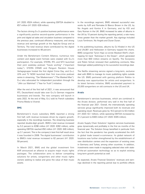(H1 2020: €524 million), while operating EBITDA doubled to €57 million (H1 2020: €28 million).

The factors driving G+J's positive business performance were a significantly positive second-quarter performance in the print and digital ad sales and circulation business compared to the previous year; continued efficiency measures; and strong revenue and earnings growth at the AppLike Group and at Territory. The total revenue share contributed by the digital businesses increased to 48 percent.

Under the Bertelsmann Content Alliance, numerous new content and digital event formats were created with G+J's participation. For example, STERN, RTL and NTV launched their joint weekday podcast "heute wichtig" ("important today"). STERN CRIME and Penguin Random House Verlagsgruppe hosted the first digital Crime Day, and G+J, UFA and TV NOW launched their first true-crime podcast series in streaming, "Der Maskenmann" ("The Masked Man"). G+J also advocated for independent journalism through the "JAhr zur Wahrheit" ("Year for Truth") initiative.

After the end of the first half of 2021, it was announced that RTL Deutschland would take over G+J's German magazine businesses and brands. The new company will launch in early 2022. At the end of May, G+J sold its French subsidiary Prisma Media to Vivendi.

#### **BMG**

Bertelsmann's music subsidiary BMG reported a strong first half, with revenue increases driven by organic growth, especially in the recordings business. The streaming business reported double-digit growth. BMG's total revenue increased by 5.2 percent to €296 million (H1 2020: €282 million), while operating EBITDA reached €50 million (H1 2020: €49 million), up 3.1 percent. This is the company's best first-half result since it was founded in 2008. The digital businesses' contribution to BMG's total revenue increased to 62 percent (H1 2020: 59 percent).

In March 2021, BMG and the global investment firm KKR announced an alliance to acquire major music rights packages. The collaboration aims to deliver compelling solutions for artists, songwriters and other music rights owners seeking to realize and grow the value of their music assets.

In the recordings segment, BMG released successful new works by AJR and Parmalee & Blanco Brown in the US, by No Angels and Kontra K in Germany, and by KSI and Gary Numan in the UK. BMG increased its sales of albums in the UK by 10 percent during the reporting period, a rate many times greater than the market growth. Key signings included Louis Tomlinson, No Angels and Duran Duran.

In the publishing business, albums by DJ Khaled in the US and Ufo361 and Helloween in Germany topped the charts. BMG songwriter Tyron Hapi co-wrote Masked Wolf's charttopping hit track "Astronaut in the Ocean", which generated more than 600 million streams on Spotify. The Scorpions and Robin Schulz renewed their publishing contracts; Max Giesinger added publishing to his successful recordings deal.

The Netflix streaming service signed a long-term, exclusive deal with BMG to manage its music publishing rights outside the US. BMG partnered with gaming platform Roblox to develop new opportunities for artists and songwriters. In its latest fairness initiative, BMG accelerated payment to 20,000 songwriters on old contracts in the US and UK.

#### **Arvato**

Bertelsmann's services businesses, which are combined in the Arvato division, performed very well in the first half of the financial year 2021. Overall, the internationally operating services group significantly improved both its revenues and operating result. Revenues grew by 16.3 percent to €2.4 billion (H1 2020: €2.1 billion), while operating EBITDA increased by 31.2 percent to €400 million (H1 2020: €305 million).

Arvato Supply Chain Solutions' logistics services businesses grew dynamically and profitably in the first six months of the financial year. The Solution Group benefited in particular from the fact that the pandemic has greatly accelerated the shift in global trade toward e-commerce. Its global network of locations was further strengthened by the establishment of new distribution centers and the expansion of existing ones in Germany and Turkey, among other countries. In addition, investments were made in equipping selected sites with stateof-the-art automation technology so as to exploit existing long-term growth potential as well.

As expected, Arvato Financial Solutions' revenues and earnings declined in the reporting period due to portfolio effects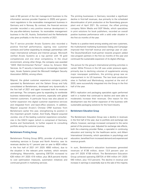(sale of 60 percent of the risk management business to the information services provider Experian in 2020) and government regulations in the receivables management business in Germany and in Norway. By contrast, the financial services provider recorded a very positive revenue development in the pay-after-delivery business. Its receivables management business in the UK, Austria, Switzerland and the Netherlands also grew profitably in the first six months of 2021.

The IT service provider Arvato Systems also recorded a positive first-half performance, signing new customer contracts and further expanding its strategic partnerships with major international software and Internet groups. Microsoft verified Arvato Systems as a top partner with 16 gold competencies and one silver competency. In the cloud environment, among other things, the company was awarded "AWS Well-Architected Partner" status by Amazon Web Services. As IT security is becoming an increasingly important topic, Arvato Systems joined the Microsoft Intelligent Security Association (MISA), among others.

Majorel, the global customer experience company jointly operated by Bertelsmann and the Saham Group and fully consolidated at Bertelsmann, developed very dynamically in the first half of 2021 and again increased both its revenues and earnings. The company grew by expanding its worldwide business relationships with customers, especially with global Internet customers. A particular focus was also placed on further expansion into digital customer experience services and integrated front- and back-office solutions. In addition, Majorel acquired Arvato's Chinese CRM business from Bertelsmann earlier this year, strengthening its position in this important growth market. And finally, Majorel acquired Junokai, one of the leading customer experience consultancies in the DACH region (which is comprised of Germany, Austria and Switzerland), to further expand its consulting portfolio along the customer journey.

## **Bertelsmann Printing Group**

Bertelsmann Printing Group (BPG), provider of printing and marketing services in Europe and North America, saw its revenues decline by 4.1 percent year on year to €624 million in the first half of 2021 (H1 2020: €650 million), due to the situation in the relevant print markets, which remains challenging. Meanwhile, operating EBITDA increased to €26 million (H1 2020: €19 million; plus 36.8 percent) thanks to cost optimization measures, automation initiatives and continued growth in marketing services.

The printing businesses in Germany recorded a significant decline in first-half revenues, due primarily to the scheduled discontinuation of print production at the Nuremberg gravure plant end of April 2021. By contrast, the offset printing company Mohn Media and GGP Media, which specializes in print solutions for book publishers, recorded an overall positive business performance with a solid order situation in the first six months of the year.

Thanks to a positive trend among existing and new customers, the multichannel marketing businesses Dialog and Campaign improved their first-half revenue and earnings year on year. The DeutschlandCard multi-partner rewards program added new program partners in the first six months of the year and continued the sustainable expansion of its digital offerings.

The picture for the group's international printing activities is varied. While Prinovis in the UK was under pressure again, primarily due to declining volumes of supplements among major newspaper publishers, the printing group saw an improvement in its US business. The two book production sites in Fairfield and Martinsburg, acquired at the end of 2020, were successfully integrated into the Group in the first half of the year.

BPG's replication and packaging specialists again performed well in a market that continued to decline and were able to moderately increase their revenues. One reason for this development was the further expansion of the business with sustainable packaging solutions for the food industry.

#### **Bertelsmann Education Group**

The Bertelsmann Education Group saw a decline in revenues in the first half of the year, due to portfolio and exchange rate effects; however, earnings increased compared to the same period of the previous year. Adjusted for exchange rate effects, both the e-learning provider Relias, a specialist in continuing education and training for the healthcare sector, and Alliant International University, which specializes in psychology and education, benefited from increased demand and experienced revenue growth.

In sum, Bertelsmann's education businesses generated revenues of €136 million, down 13.9 percent year on year (H1 2020: €158 million). The Bertelsmann Education Group achieved operating EBITDA of €44 million (H1 2020: €40 million, plus 10.0 percent). The decline in revenue and increase in earnings is essentially due to the sale of the majority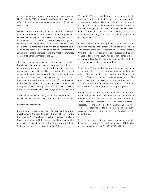of the operating business of the university service provider HotChalk in Q4 2020. Adjusted for portfolio and exchange-rate effects, first-half revenue increased organically by 5.5 percent year on year.

Demand for Relias's learning solutions continued to be high. Further, the company has offered its COVID-19 prevention courses free of charge worldwide since 2020; concentrated on digitized, cloud-based and data-driven learning offerings; and continued to expand its portfolio during the reporting period. For example, a home health aide certification program developed on the basis of new digital education technologies is aimed at healthcare agencies seeking to meet the increased demand for home healthcare in the US.

The online continuing education platform Udacity, in which Bertelsmann has a major stake, saw increasing interest in its Nanodegree courses, especially from enterprises and governments, along with overall business growth. The company expanded its course offerings to include cybersecurity programs, among other things, so as to meet the growing demand from enterprises and governments for qualified professionals in this field. By offering its programs globally, Udacity is able to help increase the diversity of the cybersecurity workforce so that it can better reflect the diverse backgrounds of cybercrime.

Alliant International University recorded revenue increases, mainly due to a continuous expansion of its online curriculum.

## **Bertelsmann Investments**

Bertelsmann Investments made 46 new and follow-on investments in the reporting period, most of them via the Bertelsmann Asia Investments (BAI) and Bertelsmann Digital Media Investments (BDMI) funds. In addition, it completed nine exits, so that Bertelsmann Investments held a total of 269 start-up investments as of June 30, 2021.

BAI made 26 new and follow-on investments in the reporting period, including in the pharmaceutical companies ComMedX, NeoX and Galixir, which develop and test drugs for difficult-to-cure diseases based on artificial intelligence. BAI also recorded the successful IPOs of Linklogis, one of China's leading technology companies, and DingDong Fresh, a Chinese fresh food delivery service.

In Brazil, Bertelsmann strengthened its footprint in the education market. Bertelsmann signed the acquisition of a 25 percent stake and 46 percent of the voting rights in Afya, the leading provider of medical education and training in Brazil, for around €500 million. Bertelsmann Brazil Investments founded and built up Afya together with the Crescera Investimentos investment fund.

BDMI made 17 new and follow-on investments, including investments in the non-fungible tokens marketplace Infinite Objects, the freelance banking app Lance, and My Yoga Teacher, an online provider of yoga classes. The fund profited from successful exits from podcast platform Wondery, programmatic advertising provider Pubmatic, and Barkbox, a subscription service for pet supplies.

In India, Bertelsmann India Investments (BII) enhanced its portfolio with follow-on investments in the Indian directto-consumer food platform Licious and the e-commerce service provider Shiprocket. BII also profited from a successful second partial exit from Eruditus. BII continues to hold a significant stake in the global executive education platform, which is the first "unicorn" in the BII portfolio.

Bertelsmann Investments' business performance is mainly determined based on EBIT, which amounted to €188 million for the first half of the year (H1 2020: €23 million).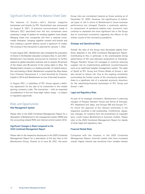## Significant Events after the Balance Sheet Date

The takeover of Gruner + Jahr's German magazine businesses and brands by RTL Deutschland was announced on August 6, 2021. A previous announcement made in February 2021 described how the two companies were reviewing a range of options for working together more closely. Merging these two companies will form a national crossmedia champion, bringing together content and brands and thus creating a growth alliance across a spectrum of media. The closing of the transaction is planned for January 1, 2022.

In early August 2021, Bertelsmann also completed the acquisition of shares in the Brazilian education company Afya. In June 2021, Bertelsmann had already announced its intention to further expand its global education business and to acquire 25 percent of the shares and 46 percent of the voting rights in Afya. The Nasdaq-listed company is a leading provider of medical education and training in Brazil. Bertelsmann acquired the Afya shares from Crescera Educacional II, a fund launched by Crescera Capital in 2014 with Bertelsmann as one of the lead investors.

In August 2021, a subsidiary of RTL Group signed a definitive agreement for the sale of its investment in the mobile gaming company Ludia. The transaction – with an expected consideration in the low three-digit million range – is subject to regulatory approvals.

## Risks and Opportunities

## **Risk Management System**

Please refer to the 2020 Combined Management Report for a description of Bertelsmann's risk management system (RMS) and the accounting-related RMS and internal control system (ICS).

## **Significant Changes in Risks Compared to the 2020 Combined Management Report**

Please refer to the respective disclosures in the 2020 Combined Management Report for a description of the key risks to the Bertelsmann Group. Overall, as of June 30, 2021, the same

Group risks are considered material as those existing as of December 31, 2020. However, the significance of individual types of risk in terms of Bertelsmann's future business performance has changed. Despite a cautiously optimistic assessment of pandemic-related risks, economic risks continue to represent the most significant risk in the Group due to continued uncertainty regarding the effects of the further course of the coronavirus pandemic.

## **Strategic and Operational Risks**

Overall, the risks of the Group have decreased slightly from those depicted in the 2020 Combined Management Report. Contributing to this, in particular, is the unanticipated strong performance of film and television productions at Fremantle. Penguin Random House US managed to continue reducing supplier risk by implementing additional countermeasures such as an optimized supplier management system. The sales of SpotX at RTL Group and Prisma Media at Gruner + Jahr also served to reduce risk. Due to the ongoing uncertainty surrounding the further course of the coronavirus pandemic, there is a significant risk of a potential economic downturn for the advertising-financed businesses of RTL Group and Gruner + Jahr.

## **Legal and Regulatory Risks**

As part of its strategic orientation, Bertelsmann is planning mergers of Penguin Random House and Simon & Schuster, RTL Nederland and Talpa, and Groupe M6 and Groupe TF1, for which the approval of the relevant authorities in the respective countries is still outstanding. Furthermore, regulatory changes, for instance from the amendment of copyright laws, could impact Bertelsmann's business models. Please refer to the 2020 Combined Management Report for details of other legal and regulatory risks.

## **Financial Market Risks**

Compared with the situation in the 2020 Combined Management Report, financial market risks have increased overall. Higher interest rate sensitivity from variable interest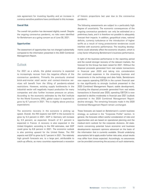rate agreement for investing liquidity and an increase in currency-sensitive positions have contributed to this increase.

#### **Overall Risk**

The overall risk position has decreased slightly overall. Despite the ongoing coronavirus pandemic, no risks were identified for Bertelsmann as a going concern as of June 30, 2021.

## **Opportunities**

The assessment of opportunities has not changed substantially compared to the information presented in the 2020 Combined Management Report.

## Outlook

For 2021 as a whole, the global economy is expected to increasingly recover from the negative effects of the coronavirus pandemic. Primarily the previously strained brick-and-mortar retail sector and contact-intensive services will benefit from the lifting of pandemic-related restrictions. However, existing supply bottlenecks in the industrial sector will negatively impact production for many companies and also further increase pressure on prices. According to the economic estimates by the Kiel Institute for the World Economy (IfW), global output is expected to grow by 6.7 percent in 2021. This is slightly above previous expectations.

The economic recovery in the eurozone is picking up speed. Overall, the IfW expects real GDP in the eurozone to grow by 5.3 percent in 2021. GDP in Germany will increase by 3.9 percent, as expected. Growth of 6.1 percent is expected in France. A recovery is also expected in the United Kingdom; according to the IfW estimates, real GDP could grow by 6.8 percent in 2021. The economic outlook is also pointing upward for the United States. The IfW expects real GDP to grow by 6.7 percent in 2021. The relatively high growth forecasts are, to a large part, attributable to catch-up effects, as many countries experienced a recession

of historic proportions last year due to the coronavirus pandemic.

The following assessments are subject to a particularly high degree of uncertainty. The economic consequences of the ongoing coronavirus pandemic can only be estimated on a preliminary basis, and it is therefore not possible to adequately forecast their impacts. In addition, geopolitical crises, national deficits, currency turbulence or the introduction of higher tariffs as a result of rising protectionist tendencies could interfere with economic performance. The resulting developments could adversely affect the economic situation, which is a key factor influencing Bertelsmann's business performance.

In light of the business performance in the reporting period and the overall stronger recovery of the relevant markets, the forecast for the Group has been raised for 2021. Without the disposal proceeds generated from real estate transactions in financial year 2020 and taking into consideration the continued expenses in the streaming business and investments in the technology and data fields, Bertelsmann now expects operating EBITDA in the current financial year to rise significantly to strongly (outlook presented in the 2020 Combined Management Report: stable development). Including the disposal proceeds generated from real estate transactions in financial year 2020, operating EBITDA is now expected to decline moderately in financial year 2021 (outlook presented in the 2020 Combined Management Report: decline strongly). The remaining forecasts made in the 2020 Combined Management Report remain unchanged.

These forecasts are based on Bertelsmann's current business strategy, as outlined in the "Corporate Profile" section. In general, the forecasts reflect careful consideration of risks and opportunities and are based on operational planning and the medium-term outlook for the corporate divisions. All statements concerning potential future economic and business developments represent opinions advanced on the basis of the information that is currently available. Should underlying assumptions fail to apply and/or further risks arise, actual results may differ from those expected. Accordingly, no assurances can be provided concerning the accuracy of such statements.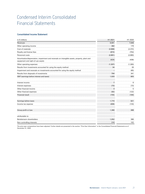## Condensed Interim Consolidated Financial Statements

## **Consolidated Income Statement**

| in $\epsilon$ millions                                                                                                             | H1 2021        | H1 2020  |
|------------------------------------------------------------------------------------------------------------------------------------|----------------|----------|
| Revenues                                                                                                                           | 8,691          | 7,848    |
| Other operating income                                                                                                             | 382            | 179      |
| Cost of materials                                                                                                                  | (2,688)        | (2, 372) |
| Royalty and license fees                                                                                                           | (672)          | (754)    |
| Personnel costs                                                                                                                    | (2,881)        | (2,660)  |
| Amortization/depreciation, impairment and reversals on intangible assets, property, plant and<br>equipment and right-of-use assets | (424)          | (438)    |
| Other operating expenses                                                                                                           | (1, 307)       | (1,300)  |
| Results from investments accounted for using the equity method                                                                     | 34             | 26       |
| Impairment and reversals on investments accounted for using the equity method                                                      |                | (65)     |
| Results from disposals of investments                                                                                              | 794            | 341      |
| EBIT (earnings before interest and taxes)                                                                                          | 1,929          | 805      |
| Interest income                                                                                                                    | $\overline{7}$ | 6        |
| Interest expenses                                                                                                                  | (73)           | (73)     |
| Other financial income                                                                                                             | 3              | 5        |
| Other financial expenses                                                                                                           | (92)           | (122)    |
| <b>Financial result</b>                                                                                                            | (155)          | (184)    |
| Earnings before taxes                                                                                                              | 1,774          | 621      |
| Income tax expense                                                                                                                 | (406)          | (133)    |
| Group profit or loss                                                                                                               | 1,368          | 488      |
| attributable to:                                                                                                                   |                |          |
| Bertelsmann shareholders                                                                                                           | 1,052          | 386      |
| Non-controlling interests                                                                                                          | 316            | 102      |

The prior-year comparatives have been adjusted. Further details are presented in the section "Prior-Year Information" in the Consolidated Financial Statements as of December 31, 2020.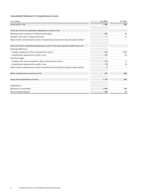## **Consolidated Statement of Comprehensive Income**

| in $\epsilon$ millions                                                                          | H1 2021        | H1 2020 |
|-------------------------------------------------------------------------------------------------|----------------|---------|
| Group profit or loss                                                                            | 1.368          | 488     |
| Items that will not be reclassified subsequently to profit or loss                              |                |         |
| Remeasurement component of defined benefit plans                                                | 251            | 20      |
| Changes in fair value of equity instruments                                                     |                | (1)     |
| Share of other comprehensive income of investments accounted for using the equity method        |                |         |
| Items that will be reclassified subsequently to profit or loss when specific conditions are met |                |         |
| Exchange differences                                                                            |                |         |
| - changes recognized in other comprehensive income                                              | 157            | (100)   |
| - reclassification adjustments to profit or loss                                                | (12)           | (9)     |
| Cash flow hedges                                                                                |                |         |
| - changes in fair value recognized in other comprehensive income                                | (17)           |         |
| - reclassification adjustments to profit or loss                                                | 25             | (3)     |
| Share of other comprehensive income of investments accounted for using the equity method        | $\overline{2}$ |         |
| Other comprehensive income net of tax                                                           | 407            | (88)    |
| Group total comprehensive income                                                                | 1.775          | 400     |
| attributable to:                                                                                |                |         |
| Bertelsmann shareholders                                                                        | 1,450          | 306     |
| Non-controlling interests                                                                       | 325            | 94      |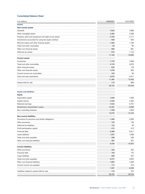## **Consolidated Balance Sheet**

| in $\epsilon$ millions                                | 6/30/2021 | 12/31/2020 |
|-------------------------------------------------------|-----------|------------|
| <b>Assets</b>                                         |           |            |
| <b>Non-current assets</b>                             |           |            |
| Goodwill                                              | 7,932     | 7,868      |
| Other intangible assets                               | 2,362     | 2,308      |
| Property, plant and equipment and right-of-use assets | 2,705     | 2,717      |
| Investments accounted for using the equity method     | 836       | 820        |
| Minority stakes and other financial assets            | 1,282     | 1,196      |
| Trade and other receivables                           | 94        | 69         |
| Other non-financial assets                            | 984       | 881        |
| Deferred tax assets                                   | 974       | 1,124      |
|                                                       | 17,169    | 16,983     |
| <b>Current assets</b>                                 |           |            |
| Inventories                                           | 1,776     | 1,658      |
| Trade and other receivables                           | 4,133     | 4,570      |
| Other financial assets                                | 620       | 178        |
| Other non-financial assets                            | 1,076     | 992        |
| Current income tax receivables                        | 103       | 56         |
| Cash and cash equivalents                             | 3,675     | 4,571      |
|                                                       | 11,383    | 12,025     |
| Assets held for sale                                  | 173       | 696        |
|                                                       | 28,725    | 29,704     |
|                                                       |           |            |
| <b>Equity and liabilities</b>                         |           |            |
| <b>Equity</b>                                         |           |            |
| Subscribed capital                                    | 1,000     | 1,000      |
| Capital reserve                                       | 2,345     | 2,345      |
| Retained earnings                                     | 7,022     | 5,751      |
| Bertelsmann shareholders' equity                      | 10,367    | 9,096      |
| Non-controlling interests                             | 1,708     | 1,629      |
|                                                       | 12,075    | 10,725     |
| <b>Non-current liabilities</b>                        |           |            |
| Provisions for pensions and similar obligations       | 1,460     | 2,009      |
| Other provisions                                      | 125       | 136        |
| Deferred tax liabilities                              | 122       | 93         |
| Profit participation capital                          | 413       | 413        |
| Financial debt                                        | 5,386     | .<br>5,911 |
| Lease liabilities                                     | 1,037     | 1,098      |
| Trade and other payables                              | 298       | 246        |
| Other non-financial liabilities                       | 397       | 401        |
|                                                       | 9,238     | 10,307     |
| <b>Current liabilities</b>                            |           |            |
| Other provisions                                      | 320       | 352        |
| Financial debt                                        | 156       | 715        |
| Lease liabilities                                     | 280       | 257        |
| Trade and other payables                              | 4,477     | 4,833      |
| Other non-financial liabilities                       | 1,887     | 1,926      |
| Current income tax payables                           | 177       | 216        |
|                                                       | 7,297     | 8,299      |
| Liabilities related to assets held for sale           | 115       | 373        |
|                                                       | 28,725    | 29,704     |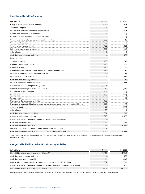## **Consolidated Cash Flow Statement**

| in $\epsilon$ millions                                                                         | H1 2021 | H1 2020        |
|------------------------------------------------------------------------------------------------|---------|----------------|
| Group earnings before interest and taxes                                                       | 1,929   | 805            |
| Taxes received/paid                                                                            | (407)   | 35             |
| Depreciation and write-ups of non-current assets                                               | 429     | 504            |
| Results from disposals of investments                                                          | (794)   | (341)          |
| Gains/losses from disposals of non-current assets                                              | (2)     | (1)            |
| Change in provisions for pensions and similar obligations                                      | (239)   | 48             |
| Change in other provisions                                                                     | (39)    | 3              |
| Change in net working capital                                                                  | (435)   | 139            |
| Fair value measurement of investments                                                          | (197)   | (60)           |
| Other effects                                                                                  | (7)     | 6              |
| Cash flow from operating activities                                                            | 238     | 1,138          |
| Investments in:                                                                                |         |                |
| - intangible assets                                                                            | (166)   | (174)          |
| - property, plant and equipment                                                                | (140)   | (139)          |
| – financial assets                                                                             | (143)   | (79)           |
| - purchase prices for consolidated investments (net of acquired cash)                          | (124)   | (10)           |
| Disposals of subsidiaries and other business units                                             | 680     | 27             |
| Disposals of other fixed assets                                                                | 468     | 146            |
| Cash flow from investing activities                                                            | 575     | (229)          |
| Issues of bonds and promissory notes                                                           |         | 1,834          |
| Redemption of bonds and promissory notes                                                       | (1,026) |                |
| Proceeds from/redemption of other financial debt                                               | (49)    | 1,279          |
| Redemption of lease liabilities                                                                | (136)   | (124)          |
| Interest paid                                                                                  | (169)   | (111)          |
| Interest received                                                                              | 9       | 16             |
| Dividends to Bertelsmann shareholders                                                          | (180)   | .              |
| Dividends to non-controlling interests and payments to partners in partnerships (IAS 32.18(b)) | (225)   | (7)            |
| Change in equity                                                                               | (32)    | (677)          |
| Other effects                                                                                  | (23)    | 9              |
| Cash flow from financing activities                                                            | (1,831) | 2,219          |
| Change in cash and cash equivalents                                                            | (1,018) | 3,128          |
| Exchange rate effects and other changes in cash and cash equivalents                           | 58      | $\mathfrak{p}$ |
| Cash and cash equivalents 1/1                                                                  | 4,643   | 1,643          |
| Cash and cash equivalents 6/30                                                                 | 3,683   | 4,773          |
| Less cash and cash equivalents included within assets held for sale                            | (8)     |                |
| Cash and cash equivalents 6/30 (according to the consolidated balance sheet)                   | 3,675   | 4,773          |

The prior-year comparatives have been adjusted. Further details are presented in the section "Prior-Year Information" in the Consolidated Financial Statements as of December 31, 2020.

## **Changes in Net Liabilities Arising from Financing Activities**

| $in \pounds$ millions                                                                        |    |
|----------------------------------------------------------------------------------------------|----|
| Net liabilities arising from financing activities at 1/1                                     |    |
| Cash flow from operating activities                                                          | 38 |
| Cash flow from investing activities                                                          |    |
| Interest, dividends and changes in equity, additional payments (IAS 32.18(b))                |    |
| Exchange rate effects and other changes in net liabilities arising from financing activities |    |
| Net liabilities arising from financing activities at 6/30                                    |    |

Net liabilities arising from financing activities are the balance of the balance sheet positions "Cash and cash equivalents," "Financial debt" and "Lease liabilities."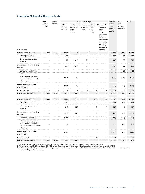## **Consolidated Statement of Changes in Equity**

|                                                                                                               | Sub-               | Capital              |                      | Retained earnings            | Bertels-                        | Non-                   | Total                                                                                                                 |                             |                       |        |
|---------------------------------------------------------------------------------------------------------------|--------------------|----------------------|----------------------|------------------------------|---------------------------------|------------------------|-----------------------------------------------------------------------------------------------------------------------|-----------------------------|-----------------------|--------|
|                                                                                                               | scribed<br>capital | reserve <sup>1</sup> | Other                |                              | Accumulated other comprehensive | income <sup>2</sup>    | mann                                                                                                                  | con-                        |                       |        |
| in $\epsilon$ millions                                                                                        |                    |                      | retained<br>earnings | Exchange<br>differ-<br>ences | Fair value<br>reserve           | Cash<br>flow<br>hedges | Share of<br>other<br>com-<br>prehensive<br>income of<br>investments<br>accounted<br>for using<br>the equity<br>method | share-<br>holders<br>equity | trolling<br>interests |        |
| Balance as of 1/1/2020                                                                                        | 1,000              | 2,345                | 5,496                | 3                            | 8                               | $\mathbf{1}$           | $\mathbf{1}$                                                                                                          | 8,854                       | 1,591                 | 10,445 |
| Group profit or loss                                                                                          |                    |                      | 386                  |                              |                                 |                        | ۰                                                                                                                     | 386                         | 102                   | 488    |
| Other comprehensive<br>income                                                                                 |                    |                      | 20                   | (101)                        | (1)                             | 1                      | $\mathbf{1}$                                                                                                          | (80)                        | (8)                   | (88)   |
| Group total comprehensive<br>income                                                                           |                    |                      | 406                  | (101)                        | (1)                             | 1                      | $\mathbf{1}$                                                                                                          | 306                         | 94                    | 400    |
| Dividend distributions                                                                                        |                    |                      |                      |                              |                                 |                        |                                                                                                                       |                             | (2)                   | (2)    |
| Changes in ownership<br>interests in subsidiaries<br>that do not result in a loss<br>of control <sup>3)</sup> |                    |                      | (429)                | (8)                          |                                 |                        |                                                                                                                       | (437)                       | (235)                 | (672)  |
| Equity transactions with<br>shareholders                                                                      |                    |                      | (429)                | (8)                          |                                 |                        |                                                                                                                       | (437)                       | (237)                 | (674)  |
| Other changes                                                                                                 |                    |                      |                      |                              |                                 |                        |                                                                                                                       |                             | (1)                   | (1)    |
| Balance as of 6/30/2020                                                                                       | 1,000              | 2,345                | 5,473                | (106)                        | 7                               | 2                      | 2                                                                                                                     | 8,723                       | 1,447                 | 10,170 |
| Balance as of 1/1/2021                                                                                        | 1,000              | 2,345                | 6,086                | (331)                        | 9                               | (11)                   | (2)                                                                                                                   | 9,096                       | 1,629                 | 10,725 |
| Group profit or loss                                                                                          |                    |                      | 1,052                |                              |                                 |                        |                                                                                                                       | 1,052                       | 316                   | 1,368  |
| Other comprehensive<br>income                                                                                 |                    |                      | 245                  | 143                          | $\mathbf{1}$                    | 7                      | $\overline{2}$                                                                                                        | 398                         | 9                     | 407    |
| Group total comprehensive<br>income                                                                           |                    |                      | 1,297                | 143                          | 1                               | $\overline{7}$         | $\overline{2}$                                                                                                        | 1,450                       | 325                   | 1,775  |
| Dividend distributions                                                                                        |                    |                      | (180)                |                              |                                 |                        |                                                                                                                       | (180)                       | (217)                 | (397)  |
| Changes in ownership<br>interests in subsidiaries<br>that do not result in a loss<br>of control               |                    |                      | (3)                  |                              |                                 |                        |                                                                                                                       | (3)                         | (40)                  | (43)   |
| Equity transactions with<br>shareholders                                                                      |                    |                      | (183)                |                              |                                 |                        |                                                                                                                       | (183)                       | (257)                 | (440)  |
| Other changes                                                                                                 |                    |                      |                      |                              |                                 | 4                      |                                                                                                                       | 4                           | 11                    | 15     |
| Balance as of 6/30/2021                                                                                       | 1,000              | 2,345                | 7,200                | (188)                        | 10                              |                        | $\overline{\phantom{0}}$                                                                                              | 10,367                      | 1,708                 | 12,075 |

1) The capital reserve mainly includes share premiums received from the issue of ordinary shares in excess of their par values.

2) Thereof, as of June 30, 2021, and June 30, 2020, no significant amounts relate to assets classified as held for sale in accordance with IFRS 5.

3) In the same period in the previous year, the changes in ownership interests in subsidiaries that do not result in a loss of control mainly arise from the shareholding increase in Penguin Random House.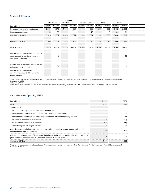## **Segment Information**

|                                                                                     |                  |         | Penguin             |         |         |               |         |         |         |                          |
|-------------------------------------------------------------------------------------|------------------|---------|---------------------|---------|---------|---------------|---------|---------|---------|--------------------------|
|                                                                                     | <b>RTL Group</b> |         | <b>Random House</b> |         |         | Gruner + Jahr |         | BMG     |         | Arvato                   |
| in $\epsilon$ millions                                                              | H1 2021          | H1 2020 | H1 2021             | H1 2020 | H1 2021 | H1 2020       | H1 2021 | H1 2020 | H1 2021 | H1 2020                  |
| Revenues from external customers                                                    | 2,964            | 2,617   | 1,803               | 1,627   | 532     | 508           | 295     | 280     | 2,402   | 2,064                    |
| Intersegment revenues                                                               | 50               | 35      |                     | $\sim$  | 16      | 16            |         |         | 34      | $\mathcal{E}$            |
| Divisional revenues                                                                 | 3,014            | 2,652   | 1,804               | 1,627   | 548     | 524           | 296     | 282     | 2,436   | 2,095                    |
| <b>Operating EBITDA</b>                                                             | 583              | 367     | 324                 | 209     | 57      | 28            | 50      | 49      | 400     | 305                      |
| EBITDA margin <sup>1)</sup>                                                         | 19.4%            | 13.8%   | 18.0%               | 12.8%   | 10.4%   | 5.4%          | 16.9%   | 17.3%   | 16.4%   | 14.6%                    |
|                                                                                     |                  |         |                     |         |         |               |         |         |         |                          |
| Impairment (-)/reversals (+) on intangible<br>assets, property, plant and equipment |                  |         |                     |         |         |               |         |         |         | (2)                      |
| and right-of-use assets                                                             |                  |         |                     |         |         |               |         |         |         |                          |
| Results from investments accounted for                                              |                  |         |                     |         |         |               |         |         |         |                          |
| using the equity method                                                             | 14               | 13      | $\sqrt{2}$          | (1)     |         |               |         |         |         | 5                        |
| Impairment (-)/reversals (+) on                                                     |                  |         |                     |         |         |               |         |         |         |                          |
| investments accounted for using the<br>equity method                                |                  | (65)    |                     |         |         |               |         |         |         | $\overline{\phantom{a}}$ |

The prior-year comparatives have been adjusted. Further details are presented in the section "Prior-Year Information" in the Consolidated Financial Statements as of<br>December 31, 2020.<br>1) Operating EBITDA as a percentage o

## **Reconciliation to Operating EBITDA**

| in $\epsilon$ millions                                                                                                                                                      | H1 2021 | H <sub>1</sub> 2020 |
|-----------------------------------------------------------------------------------------------------------------------------------------------------------------------------|---------|---------------------|
| EBIT                                                                                                                                                                        | 1.929   |                     |
| Special items                                                                                                                                                               |         |                     |
| - adjustment to carrying amounts on assets held for sale                                                                                                                    |         |                     |
| - Impairment (+)/reversals (-) on other financial assets at amortized cost                                                                                                  |         |                     |
| - Impairment (+)/reversals (-) on investments accounted for using the equity method                                                                                         |         |                     |
| - results from disposals of investments                                                                                                                                     | (794)   | 341)                |
| - fair value measurement of investments                                                                                                                                     | (197)   | (60                 |
| - restructuring and other special items                                                                                                                                     | 59      | 88                  |
| Amortization/depreciation, impairment and reversals on intangible assets, property, plant and<br>equipment and right-of-use assets                                          |         |                     |
| Adjustments on amortization/depreciation, impairment and reversals on intangible assets, property,<br>plant and equipment and right-of-use assets included in special items |         |                     |
| <b>Operating EBITDA</b>                                                                                                                                                     | 1.417   | 994                 |

The prior-year comparatives have been adjusted. Further details are presented in the section "Prior-Year Information" in the Consolidated Financial Statements as of December 31, 2020.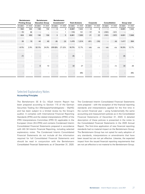| Bertelsmann<br><b>Printing Group</b>                                                                            |      |       | Bertelsmann<br><b>Education Group</b> |                | Bertelsmann<br>Investments <sup>2)</sup> |       | Total divisions |      | Corporate |       | Consolidation |       | <b>Group total</b> |
|-----------------------------------------------------------------------------------------------------------------|------|-------|---------------------------------------|----------------|------------------------------------------|-------|-----------------|------|-----------|-------|---------------|-------|--------------------|
| H1 2021 H1 2020 H1 2021 H1 2020 H1 2021 H1 2020 H1 2021 H1 2020 H1 2021 H1 2020 H1 2021 H1 2020 H1 2021 H1 2020 |      |       |                                       |                |                                          |       |                 |      |           |       |               |       |                    |
| 584                                                                                                             | 552  | 136   |                                       |                |                                          | 8,687 | 7,842           |      |           |       | $\sim$        |       | 8,691 7,848        |
| 72                                                                                                              |      |       |                                       |                |                                          | 174   | 151             |      | 16        | (191) | (167)         |       |                    |
| 650                                                                                                             | 624  | 136   | 158                                   |                |                                          | 8,86  | 7,993           | 21   | 22        | (191) | (167)         |       | 8,691 7,848        |
| 26<br>19                                                                                                        |      | 44    |                                       | (6)            | (3)                                      | 1,478 | 1,014           | (61) | (16)      |       | (4)           | 1.417 | 994                |
| 2.9%                                                                                                            | 4.1% | 32.1% |                                       | 24.9% (191.0)% | (71.0)%                                  | 16.7% | 12.7%           | n/a  |           |       | n/a           | 16.3% | 12.7%              |
| (7)                                                                                                             |      |       |                                       |                | $\sim$                                   |       |                 |      |           |       |               |       |                    |
|                                                                                                                 |      |       | 10 <sup>°</sup>                       |                | $\sim$                                   | 34    | 27              |      |           |       | (1)           | 34    | 26                 |
|                                                                                                                 |      |       |                                       |                |                                          |       | (65)            |      |           |       |               |       | (65)               |

## Selected Explanatory Notes

## **Accounting Principles**

The Bertelsmann SE & Co. KGaA Interim Report has been prepared according to Section 115 of the German Securities Trading Act (Wertpapierhandelsgesetz – WpHG) and has been subject to a limited review by the Group's auditor. It complies with International Financial Reporting Standards (IFRS) and the related interpretations (IFRIC) of the IFRS Interpretations Committee (IFRS IC) applicable in the European Union (EU-IFRS) and contains Condensed Interim Consolidated Financial Statements prepared in accordance with IAS 34 Interim Financial Reporting, including selected explanatory notes. The Condensed Interim Consolidated Financial Statements do not include all the information required for full Consolidated Financial Statements and should be read in conjunction with the Bertelsmann Consolidated Financial Statements as of December 31, 2020.

The Condensed Interim Consolidated Financial Statements were prepared – with the exception of the financial reporting standards and interpretations applied for the first time in the current financial year – using fundamentally the same accounting and measurement policies as in the Consolidated Financial Statements of December 31, 2020. A detailed description of these policies is presented in the notes to the Consolidated Financial Statements in the 2020 Annual Report. The first-time application of new financial reporting standards had no material impact on the Bertelsmann Group. The Bertelsmann Group has not opted for early adoption of any standards, interpretations or amendments that have been issued but are not yet effective. Likewise, the expected impact from the issued financial reporting requirements that are not yet effective is not material to the Bertelsmann Group.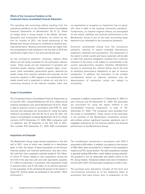## **Effects of the Coronavirus Pandemic on the Condensed Interim Consolidated Financial Statements**

The operating and accounting effects resulting from the coronavirus pandemic on the Condensed Interim Consolidated Financial Statements of Bertelsmann SE & Co. KGaA no longer show a strong impact in the Media, Services, Education and Investments divisions. As shown by the first six months of 2021, the broad positioning of the Bertelsmann Group continues to contribute to positive business performance. Revenue and profit levels are higher than the pre-pandemic levels achieved in the first half of 2019 and significantly higher than in the same period last year.

As the coronavirus pandemic continues, balance sheet effects are still being evaluated for the particularly relevant issues. These issues are the impairment of goodwill and individual assets, leasing, royalties, program rights, inventories, trade receivables, government grants, deferred tax assets, losses from onerous contracts and revenues. As the economic situation in 2021 appears to be significantly more stable overall and is expected to remain so, and due to a continuing recovery of the relevant markets, there was

no requirement to recognize an impairment loss on goodwill, even in light of the ongoing coronavirus pandemic. Furthermore, no material negative effects are anticipated on the assets, liabilities and financial performance of the Bertelsmann Group in any of the other accounting areas deemed to be vulnerable to the coronavirus pandemic.

Economic uncertainties arising from the coronavirus pandemic continue to require extended discretionary judgments, estimates and assumptions. The assessment of the extent to which current and future customers will be able to fulfill their payment obligations resulting from customer contracts in the future is still subject to uncertainties in the current macroeconomic situation; therefore, Bertelsmann focuses on examining this criterion before and at the time of satisfying performance obligations as part of revenue recognition. In addition, the estimation of the variable consideration based on capacity utilization and the determination of transaction prices are subject to uncertainty.

#### **Scope of Consolidation**

The Condensed Interim Consolidated Financial Statements as of June 30, 2021, include Bertelsmann SE & Co. KGaA and all material subsidiaries over which Bertelsmann SE & Co. KGaA is able to exercise control in accordance with IFRS 10. Joint ventures and associates are accounted for using the equity method in accordance with IAS 28. As of June 30, 2021, the scope of consolidation including Bertelsmann SE & Co. KGaA consists of 873 (December 31, 2020: 894) companies with 12 additions and 33 disposals in the first half of 2021. This includes 816 (December 31, 2020: 830) consolidated

## **Acquisitions and Disposals**

The Bertelsmann Group made several acquisitions in the first half of 2021, none of which was material on a stand-alone basis. In total, the impact of these acquisitions on the Group's financial position and financial performance was also minor. The cash flow from acquisition activities totaled  $\epsilon$ -124 million, of which €7 million related to new acquisitions during the first half of the year less cash and cash equivalents acquired, €-7 million to payments in connection with acquisitions made in previous years, and  $\epsilon$ -124 million to an advance payment on the acquisition of the remaining 50 percent of the shares in Super RTL (further details are presented in the section "Other Information").

companies. In addition, investments in 17 (December 31, 2020: 21) joint ventures and 40 (December 31, 2020: 43) associates are accounted for using the equity method in the Consolidated Financial Statements. A total of 167 (December 31, 2020: 170) companies were excluded from the scope of consolidation. These consist of the associates in the portfolio of the Bertelsmann Investments division and entities without significant business operations and of negligible importance for the financial position and financial performance of the Bertelsmann Group.

The consideration transferred in accordance with IFRS 3 amounted to €29 million. In addition, put options in the amount of €38 million were accounted for in relation to the acquisitions made by the RTL Group division. The other acquisitions resulted in goodwill totaling €36 million, which reflects synergy potential. The goodwill is not tax deductible and relates mainly to the RTL Group division. Transaction-related costs were immaterial in the first half of 2021 and have been recognized in profit or loss.

The purchase price allocations consider all the facts and circumstances prevailing as of the respective dates of acquisition that were known prior to preparation of the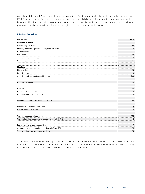Consolidated Financial Statements. In accordance with IFRS 3, should further facts and circumstances become known within the 12-month measurement period, the purchase price allocation will be adjusted accordingly.

The following table shows the fair values of the assets and liabilities of the acquisitions on their dates of initial consolidation based on the currently still preliminary purchase price allocations:

## **Effects of Acquisitions**

| in $\epsilon$ millions                                   | Total   |
|----------------------------------------------------------|---------|
| <b>Non-current assets</b>                                |         |
| Other intangible assets                                  | 25<br>. |
| Property, plant and equipment and right-of-use assets    | 3       |
| <b>Current assets</b>                                    |         |
| Inventories                                              | 37<br>. |
| Trade and other receivables                              | 8<br>.  |
| Cash and cash equivalents                                | 15      |
| Liabilities                                              |         |
| Financial debt                                           | (6)     |
| Lease liabilities                                        | <br>(1) |
| Other financial and non-financial liabilities            | (56)    |
| Net assets acquired                                      | 25      |
| Goodwill                                                 | 36      |
| Non-controlling interests                                | (11)    |
| Fair value of pre-existing interests                     | (21)    |
| Consideration transferred according to IFRS 3            | 29      |
| Less fair value of contributed assets                    | (21)    |
| Consideration paid in cash                               | 8       |
| Cash and cash equivalents acquired                       | (15)    |
| Cash outflow from acquisitions in accordance with IFRS 3 | (7)     |
| Payments on prior year's acquisitions                    | 7       |
| Advance payment on acquisition of shares in Super RTL    | 124     |
| Total cash flow from acquisition activities              | 124     |

Since initial consolidation, all new acquisitions in accordance with IFRS 3 in the first half of 2021 have contributed €23 million to revenue and €2 million to Group profit or loss.

If consolidated as of January 1, 2021, these would have contributed €57 million to revenue and €4 million to Group profit or loss.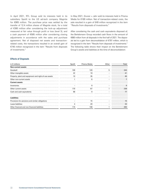In April 2021, RTL Group sold its interests held in its subsidiary SpotX to the US ad-tech company Magnite for €965 million. The purchase price was settled by the transfer of 12.4 million shares of Magnite stock, for a total of €380 million after considering the lock-up adjustment measured at fair value through profit or loss (level 3), and a cash payment of €585 million after considering closing adjustments in accordance with the sales and purchase agreement. Net of disposed net assets and transactionrelated costs, the transactions resulted in an overall gain of €745 million recognized in the item "Results from disposals of investments."

In May 2021, Gruner + Jahr sold its interests held in Prisma Media for €169 million. Net of transaction-related costs, the sale resulted in a gain of €49 million recognized in the item "Results from disposals of investments."

After considering the cash and cash equivalents disposed of, the Bertelsmann Group recorded cash flows in the amount of €680 million from all disposals in the first half of 2021. The disposals led to a gain from deconsolidation of €797 million, which is recognized in the item "Results from disposals of investments." The following table shows their impact on the Bertelsmann Group's assets and liabilities at the time of deconsolidation:

## **Effects of Disposals**

| in $\epsilon$ millions                                | SpotX | Prisma Media | Other | Total |
|-------------------------------------------------------|-------|--------------|-------|-------|
| <b>Non-current assets</b>                             |       |              |       |       |
| Goodwill                                              | 109   | 129          | 5     | 243   |
| Other intangible assets                               |       |              |       | 41    |
| Property, plant and equipment and right-of-use assets | 10    | 35           |       | 45    |
| Other non-current assets                              |       |              |       |       |
| <b>Current assets</b>                                 |       |              |       |       |
| Inventories                                           |       |              |       |       |
| Other current assets                                  | 170   | 67           |       | 238   |
| Cash and cash equivalents                             | 68    |              |       | 77    |
|                                                       |       |              |       |       |
| Liabilities                                           |       |              |       |       |
| Provisions for pensions and similar obligations       |       | 15           |       | 15    |
| Lease liabilities                                     |       | 29           |       | 33    |
| Other financial and non-financial liabilities         | 174   | 108          |       | 283   |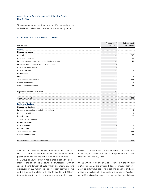## **Assets Held for Sale and Liabilities Related to Assets Held for Sale**

The carrying amounts of the assets classified as held for sale and related liabilities are presented in the following table:

## **Assets Held for Sale and Related Liabilities**

| in $\epsilon$ millions                                | Balance as of<br>6/30/2021 | Balance as of<br>12/31/2020 |
|-------------------------------------------------------|----------------------------|-----------------------------|
| <b>Assets</b>                                         |                            |                             |
| <b>Non-current assets</b>                             |                            |                             |
| Goodwill                                              | 32                         | 237                         |
| Other intangible assets                               | $\overline{2}$             | 33                          |
| Property, plant and equipment and right-of-use assets | 37                         | 43                          |
| Investments accounted for using the equity method     |                            | $\overline{\mathbf{c}}$     |
| Other non-current assets                              |                            | 1                           |
| Deferred tax assets                                   | 6                          | 5                           |
| <b>Current assets</b>                                 |                            |                             |
| Inventories                                           | 31                         | 9                           |
| Trade and other receivables                           | 54                         | 286                         |
| Other current assets                                  | 7                          | 8                           |
| Cash and cash equivalents                             | 8                          | 72                          |
| Impairment on assets held for sale                    | (4)                        |                             |
| Assets held for sale                                  | 173                        | 696                         |
| <b>Equity and liabilities</b>                         |                            |                             |
| <b>Non-current liabilities</b>                        |                            |                             |
| Provisions for pensions and similar obligations       | 22                         | 14                          |
| Deferred tax liabilities                              |                            | 3                           |
| Lease liabilities                                     | 25                         | 27                          |
| Trade and other payables                              | $\overline{2}$             | 1                           |
| <b>Current liabilities</b>                            |                            |                             |
| Other provisions                                      |                            | 6                           |
| Lease liabilities                                     | $\overline{4}$             | 10<br>.                     |
| Trade and other payables                              | 41                         | 254                         |
| Other current liabilities                             | 21                         | 58                          |
| Liabilities related to assets held for sale           | 115                        | 373                         |

As of June 30, 2021, the carrying amounts of the assets classified as held for sale and related liabilities are almost completely attributable to the RTL Group division. In June 2021, RTL Group announced that it had signed a definitive agreement for the sale of RTL Belgium. The transaction – with an expected consideration of €215 million and after a dividend distribution of €35 million – is subject to regulatory approvals and is expected to close in the fourth quarter of 2021. An immaterial portion of the carrying amounts of the assets

classified as held for sale and related liabilities is attributable to the Majorel Stralsund disposal group within the Arvato division as of June 30, 2021.

An impairment of  $€4$  million was recognized in the first half of 2021 for the Majorel Stralsund disposal group, which was measured at fair value less costs to sell. The fair values are based on level 3 of the hierarchy of non-recurring fair values. Valuations for level 3 are based on information from contract negotiations.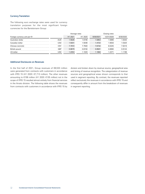## **Currency Translation**

The following euro exchange rates were used for currency translation purposes for the most significant foreign currencies for the Bertelsmann Group:

| Foreign currency unit per €1 |     | H <sub>1</sub> 2021 | 2020<br>H1 |                                 | /2020    |        |
|------------------------------|-----|---------------------|------------|---------------------------------|----------|--------|
| Australian dollar            |     |                     | 6746<br>   | ******************************* | 5896<br> |        |
| Canadian dollar              |     | 5031                | 5036<br>   |                                 | 5633     |        |
| Chinese renminbi             | CNY | 7972<br>            | 7500       | 1 6742                          |          | ' 9219 |
| British pound                |     | 8679<br>            | 8740<br>   |                                 |          |        |
|                              |     |                     | 1020       |                                 |          | 198    |

## **Additional Disclosures on Revenues**

In the first half of 2021, Group revenues of €8,533 million were generated from contracts with customers in accordance with IFRS 15 (H1 2020: €7,713 million). The other revenues amounting to €158 million (H1 2020: €135 million) not in the scope of IFRS 15 resulted almost entirely from financial services in the Arvato division. The following table shows the revenues from contracts with customers in accordance with IFRS 15 by division and broken down by revenue source, geographical area and timing of revenue recognition. The categorization of revenue sources and geographical areas shown corresponds to that used in segment reporting. By contrast, the revenues reported reflect exclusively the revenues in accordance with IFRS 15 and consequently differ in amount from the breakdown of revenues in segment reporting.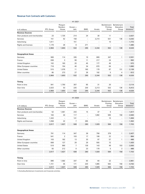## **Revenue from Contracts with Customers**

|                              |                  |                            | H1 2021          |            |        |                                  |                                   |                                  |
|------------------------------|------------------|----------------------------|------------------|------------|--------|----------------------------------|-----------------------------------|----------------------------------|
| in $\epsilon$ millions       | <b>RTL Group</b> | Penguin<br>Random<br>House | Gruner +<br>Jahr | <b>BMG</b> | Arvato | Bertelsmann<br>Printing<br>Group | Bertelsmann<br>Education<br>Group | Total<br>divisions <sup>1)</sup> |
| <b>Revenue Sources</b>       |                  |                            |                  |            |        |                                  |                                   |                                  |
| Own products and merchandise | 23               | 1.725                      | 214              | 24         | 30     |                                  |                                   | 2,027                            |
| Services                     | 151              | 52                         | 158              |            | 2,214  | 531                              | 136                               | 3,242                            |
| Advertising                  | 1.611            |                            | 151              |            |        | 10                               |                                   | 1.772                            |
| Rights and licenses          | 1,179            | 26                         | 9                | 271        |        |                                  |                                   | 1,485                            |
|                              | 2,964            | 1.803                      | 532              | 295        | 2.244  | 552                              | 136                               | 8,526                            |
| <b>Geographical Areas</b>    |                  |                            |                  |            |        |                                  |                                   |                                  |
| Germany                      | 906              | 114                        | 335              | 19         | 809    | 347                              |                                   | 2,531                            |
| France                       | 638              | 3                          | 99               | 11         | 217    | 24                               |                                   | 992                              |
| United Kingdom               | 102              | 183                        | 20               | 45         | 177    | 45                               |                                   | 572                              |
| Other European countries     | 718              | 154                        | 40               | 34         | 670    | 64                               |                                   | 1.680                            |
| <b>United States</b>         | 515              | 1.076                      |                  | 160        | 179    | 67                               | 131                               | 2,139                            |
| Other countries              | 85               | 273                        | 27               | 26         | 192    | 5                                | Δ                                 | 612                              |
|                              | 2,964            | 1,803                      | 532              | 295        | 2,244  | 552                              | 136                               | 8,526                            |
| <b>Timing</b>                |                  |                            |                  |            |        |                                  |                                   |                                  |
| Point in time                | 941              | 1.750                      | 307              | 65         | 31     | 20                               |                                   | 3.114                            |
| Over time                    | 2,023            | 53                         | 225              | 230        | 2,213  | 532                              | 136                               | 5,412                            |
|                              | 2,964            | 1,803                      | 532              | 295        | 2,244  | 552                              | 136                               | 8,526                            |

|                              |                  |                            | H1 2020          |            |        |                                  |                                   |                                  |
|------------------------------|------------------|----------------------------|------------------|------------|--------|----------------------------------|-----------------------------------|----------------------------------|
| in $\epsilon$ millions       | <b>RTL Group</b> | Penguin<br>Random<br>House | Gruner +<br>Jahr | <b>BMG</b> | Arvato | Bertelsmann<br>Printing<br>Group | Bertelsmann<br>Education<br>Group | Total<br>divisions <sup>1)</sup> |
| <b>Revenue Sources</b>       |                  |                            |                  |            |        |                                  |                                   |                                  |
| Own products and merchandise | 52               | 1,561                      | 243              | 15         | 37     | 9                                |                                   | 1,917                            |
| Services                     | 164              | 44                         | 117              |            | 1,892  | 565                              | 158                               | 2,940                            |
| Advertising                  | 1.343            |                            | 141              |            |        | 10                               |                                   | 1,494                            |
| Rights and licenses          | 1,058            | 22<br>.                    |                  | 265<br>.   |        |                                  |                                   | 1,352                            |
|                              | 2,617            | 1.627                      | 508              | 280        | 1.929  | 584                              | 158                               | 7,703                            |
| <b>Geographical Areas</b>    |                  |                            |                  |            |        |                                  |                                   |                                  |
| Germany                      | 791              | 114                        | 347              | 39         | 756    | 379                              |                                   | 2,427                            |
| France                       | 541              | 2                          | 103              | 17         | 199    | 22                               |                                   | 884                              |
| United Kingdom               | 103              | 182                        | 13               | 33         | 97     | 57                               |                                   | 486                              |
| Other European countries     | 608              | 127                        | 29               | 29         | 555    | 72                               |                                   | 1.420                            |
| <b>United States</b>         | 519              | 990                        |                  | 139        | 143    | 49                               | 153                               | 2.000                            |
| Other countries              | 55               | 212                        | 9                | 23         | 179    | 5                                | 3                                 | 486                              |
|                              | 2,617            | 1,627                      | 508              | 280        | 1,929  | 584                              | 158                               | 7,703                            |
| Timing                       |                  |                            |                  |            |        |                                  |                                   |                                  |
| Point in time                | 896              | 1.582                      | 337              | 60         | 64     | 22                               |                                   | 2,961                            |
| Over time                    | 1,721            | 45                         | 171              | 220        | 1,865  | 562                              | 158                               | 4,742                            |
|                              | 2,617            | 1,627                      | 508              | 280        | 1,929  | 584                              | 158                               | 7,703                            |

1) Excluding Bertelsmann Investments and Corporate activities.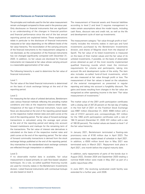## **Additional Disclosures on Financial Instruments**

The principles and methods used for the fair value measurement remain unchanged compared to those used in the previous year. Only disclosures on financial instruments that are significant to an understanding of the changes in financial position and financial performance since the end of the last annual reporting period are explained below. These explanations relate in particular to the disclosure of financial instruments measured at fair value depending on the different levels of the fair value hierarchy. The reconciliation of the carrying amounts of the financial instruments to the measurement categories is not disclosed, as the composition of the financial instruments has not changed significantly compared with December 31, 2020. In addition, no fair values are disclosed for financial instruments not measured at fair value whose carrying amount is a reasonable approximation of fair value.

The following hierarchy is used to determine the fair value of financial instruments.

### Level 1:

The fair value of the listed financial instruments is determined on the basis of stock exchange listings at the end of the reporting period.

#### Level 2:

For measuring the fair value of unlisted derivatives, Bertelsmann uses various financial methods reflecting the prevailing market conditions and risks at the respective balance sheet dates. Irrespective of the type of financial instrument, future cash flows are discounted at the end of the reporting period based on the respective market interest rates and yield curves at the end of the reporting period. The fair value of forward exchange transactions is calculated using the average spot prices at the end of the reporting period and taking into account forward markdowns and markups for the remaining term of the transactions. The fair value of interest rate derivatives is calculated on the basis of the respective market rates and yield curves at the end of the reporting period. The fair value of forward commodity transactions is derived from the stock exchange listings published at the end of the reporting period. Any mismatches to the standardized stock exchange contracts are reflected through interpolation or additions.

#### Level 3:

If no observable market data is available, fair value measurement is based primarily on cash flow-based valuation techniques. As a rule, so-called qualified financing rounds are used for minority stakes in the Bertelsmann Investments division. Listed financial instruments with contractual lockups are also based on level 3.

The measurement of financial assets and financial liabilities according to level 2 and level 3 requires management to make certain assumptions about the model inputs, including cash flows, discount rate and credit risk, as well as the life and development cycle of start-up investments.

The measurement category "fair value through profit or loss" mainly includes the minority stakes in start-ups and fund investments purchased by the Bertelsmann Investments division, and shares of Magnite stock from the disposal of SpotX. The fair value of its listed investments is measured on the basis of their market values and the fair value of its unlisted investments, if possible, on the basis of observable prices obtained as part of the most recently implemented qualified financing rounds which meet the minimum requirements for volume and participants, taking into account life and development cycles of the entity. The item also includes so-called fund-of-fund investments, which are also measured at fair value through profit or loss. The measurement of their fair values is based on the valuations of the external management as presented in regular reporting and taking into account a fungibility discount. The gains and losses resulting from changes in the fair value are recognized as other operating income in the item "Fair value measurement of investments."

The market value of the 2001 profit participation certificates with a closing rate of 347.20 percent on the last day of trading in the first half of 2021 on the Frankfurt Stock Exchange was €987 million (December 31, 2020: €908 million with a rate of 319.51 percent) and, correspondingly, €31 million for the 1992 profit participation certificates with a rate of 184.12 percent (December 31, 2020: €31 million with a rate of 180.00 percent). The market values are based on level 1 of the fair value hierarchy.

In January 2021, Bertelsmann terminated a floating-rate promissory note of €100 million due in April 2023. The promissory note was repaid ahead of schedule in April 2021. In addition, a €500 million bond due in May 2021 was terminated early in March 2021. Repayment took place in April 2021, one month before the original maturity date.

In addition, early repayments of parts of the bonds due in August 2022, October 2024 and September 2025 totaling a nominal €428 million were made in May 2021 as part of a public repurchase offer.

In June 2021, the revolving syndicated credit facility was extended for a further year, until 2026.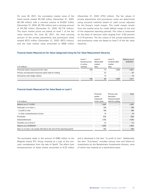On June 30, 2021, the cumulative market value of the listed bonds totaled €5,158 million (December 31, 2020: €6,146 million) with a nominal volume of €4,822 million (December 31, 2020: €5,750 million) and a carrying amount of €4,796 million (December 31, 2020: €5,719 million). The stock market prices are based on level 1 of the fair value hierarchy. On June 30, 2021, the total carrying amount of the private placements and promissory notes totaled €573 million (December 31, 2020: €673 million), and the total market value amounted to €638 million

(December 31, 2020: €753 million). The fair values of private placements and promissory notes are determined using actuarial methods based on yield curves adjusted for the Group's credit margin. This credit margin results from the market price for credit default swaps at the end of the respective reporting periods. Fair value is measured on the basis of discount rates ranging from -0.50 percent to 0.78 percent. The fair values of the private placements and promissory notes are based on level 2 of the fair value hierarchy.

## **Financial Assets Measured at Fair Value Categorized Using the Fair Value Measurement Hierarchy**

| in $\epsilon$ millions                                   | Level 1:<br>Quoted prices<br>in active<br>markets | Level 2:<br>Observable<br>market<br>data | Level 3:<br>Unobservable<br>market<br>data | Balance as of<br>6/30/2021 |
|----------------------------------------------------------|---------------------------------------------------|------------------------------------------|--------------------------------------------|----------------------------|
| Financial assets measured at fair value                  |                                                   |                                          | 1.653<br>                                  | .821                       |
| Primary and derivative financial assets held for trading |                                                   |                                          |                                            |                            |
| Derivatives with hedge relation                          |                                                   |                                          |                                            |                            |
|                                                          |                                                   | 60                                       | .653                                       |                            |

## **Financial Assets Measured at Fair Value Based on Level 3**

|                                                                                   | Financial     |                  | Total |
|-----------------------------------------------------------------------------------|---------------|------------------|-------|
|                                                                                   | assets        | derivative       |       |
|                                                                                   | measured      | financial assets |       |
| in $\epsilon$ millions                                                            | at fair value | held for trading |       |
| Balance as of 1/1/2021                                                            | 1.067         |                  | .067  |
| Total gain $(+)$ or loss $(-)$                                                    | 196           |                  | 196   |
| $-$ in profit or loss                                                             | 186           |                  | 186   |
| - in other comprehensive income                                                   |               |                  | 10    |
| Purchases                                                                         | 525           |                  | 525   |
| Sales/settlements                                                                 | 134)          |                  | 134)  |
| Transfers out of level 3                                                          |               |                  |       |
| Balance as of 6/30/2021                                                           | .653          |                  | .653  |
| Gain $(+)$ or loss $(-)$ for assets still held at the end of the reporting period | 162           |                  | 162   |

The purchases relate in the amount of  $£380$  million to the Magnite shares RTL Group received as a part of the noncash consideration from the sale of SpotX. The effect from remeasurement of these shares amounted to €-33 million and is disclosed in the item "in profit or loss." Additionally, the item "Purchases" includes various new and follow-on investments by the Bertelsmann Investments division, none of which was material on a stand-alone basis.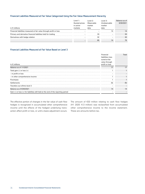## **Financial Liabilities Measured at Fair Value Categorized Using the Fair Value Measurement Hierarchy**

|                                                                     | Level 1∶                              | l evel 2:            |                        | Level 3:  | Balance as of |
|---------------------------------------------------------------------|---------------------------------------|----------------------|------------------------|-----------|---------------|
| in $f$ millions                                                     | Quoted prices<br>in active<br>markets | Observable<br>market | Unobservable<br>market | 6/30/2021 |               |
|                                                                     |                                       |                      |                        |           |               |
| Financial liabilities measured at fair value through profit or loss |                                       |                      |                        |           |               |
| Primary and derivative financial liabilities held for trading       |                                       |                      |                        |           |               |
| Derivatives with hedge relation                                     |                                       |                      |                        |           |               |
|                                                                     |                                       |                      |                        | 79        |               |

## **Financial Liabilities Measured at Fair Value Based on Level 3**

|                                                                                                                            | Financial        | Total |
|----------------------------------------------------------------------------------------------------------------------------|------------------|-------|
|                                                                                                                            | liabilities mea- |       |
|                                                                                                                            | sured at fair    |       |
|                                                                                                                            | value through    |       |
| in $\epsilon$ millions                                                                                                     | profit or loss   |       |
| Balance as of 1/1/2021                                                                                                     |                  | 17    |
| Total gain (-) or loss (+)                                                                                                 |                  |       |
| - in profit or loss                                                                                                        |                  |       |
| - in other comprehensive income                                                                                            |                  |       |
| Purchases                                                                                                                  |                  |       |
| Settlements                                                                                                                | (5<br>           | lb.   |
| Transfers out of/into level 3                                                                                              |                  |       |
| Balance as of 6/30/2021                                                                                                    |                  |       |
| Gain $\left(\text{-}\right)$ or loss $\left(\text{+}\right)$ for liabilities still held at the end of the reporting period |                  |       |

The effective portion of changes in the fair value of cash flow hedges is recognized in accumulated other comprehensive income until the effects of the hedged underlying transaction affect profit or loss, or until a basis adjustment occurs. The amount of €33 million relating to cash flow hedges (H1 2020: €-3 million) was reclassified from accumulated other comprehensive income to the income statement. These are amounts before tax.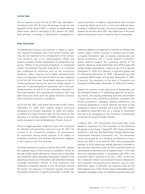### **Income Taxes**

The tax expense for the first half of 2021 was calculated in accordance with IAS 34 using the average annual tax rate expected for the whole of 2021, in relation to taxable earnings before taxes, which is calculated at 30.7 percent (H1 2020: 32.6 percent), according to Bertelsmann management's

#### **Other Information**

The Bertelsmann Group's core business is subject to significant seasonal fluctuations and in the current financial year may also be impacted by the consequences of the coronavirus pandemic due to its macroeconomic effects and related uncertainty (further explanations are presented in the section "Effects of the Coronavirus Pandemic on Condensed Interim Consolidated Financial Statements"). In a financial year unaffected by influences such as the coronavirus pandemic, higher revenues and a higher operating result tend to be expected in the second half of the year compared to the first half of the year. These higher revenues are due to increasing demand during the year-end holiday season, in particular in advertising-driven businesses and in the publishing business, as well as to the customary seasonality in the music business. This seasonality for revenue in 2021 may differ from prior years given the global economic development and current economic uncertainty.

As of June 30, 2021, total assets amounted to €28.7 billion (December 31, 2020: €29.7 billion). Pension provisions decreased to €1.5 billion (December 31, 2020: €2.0 billion). In addition to a higher discount rate, the main reason for the decrease is a voluntary addition of €200 million to the plan assets managed in trust by Bertelsmann Pension Trust e.V.

Due to a triggering event, impairment tests were conducted for selected cash-generating units as of June 30, 2021. On account of the coronavirus pandemic, the assumptions for impairment testing overall continue to be subject to increased uncertainty and extended discretionary judgment in the context of cash flow forecasts.

Fremantle continued to recover in the first half of 2021, despite the ongoing impact of the coronavirus pandemic. Driven by the high overall market demand for content from a diversified set of potential clients (including broadcasters, platforms and streaming services) and Fremantle's well-diversified territorial coverage (Fremantle's network of local production and distribution companies operates in over 30 territories around the world), the exposure of Fremantle towards potentially long-lasting recessions of specific economies is limited. The

current estimation. In addition, special effects were included in earnings before taxes and in current and deferred taxes, resulting in a different tax rate in the income statement. The tax expense for the first half of 2021 was higher than in the same period of the previous year, in particular due to transactions.

streaming platforms are expected to continue to increase their content spend. Further initiatives to develop new formats, to expand Fremantle's slate of scripted, entertainment and factual productions, and to further diversify Fremantle's global footprint support the continued growth of the business. Based on a Discounted Cash Flow (DCF) model with revised budget assumptions, a discount rate of 8.15 percent (December 31, 2020: 8.21 percent), a long-term growth rate of 1.80 percent (December 31, 2020: 1.80 percent) and with a perpetual EBITA margin of 8 percent (December 31, 2020: 8 percent), the headroom at the level of Fremantle has increased to €306 million (December 31, 2020: €213 million).

Despite the recovery of the share price of Atresmedia, and the indicated increase of TV advertising spend for the upcoming months, the ongoing challenging economic environment in Spain due to the coronavirus pandemic combined with strong competition, changing viewing preferences and continued dependence on linear television still leads to high uncertainty in terms of forecasts. As of June 30, 2021, neither an additional impairment loss nor a reversal of impairment loss had to be recognized on the investment in Atresmedia accounted for using the equity method.

In March 2021, RTL Deutschland announced that it had signed an agreement for the acquisition of the remaining 50 percent of the shares in Super RTL (RTL Disney Fernsehen GmbH & Co. KG) from The Walt Disney Company (Buena Vista International Television Investments, Inc). The transaction will be accounted for as a business combination in accordance with IFRS 3. As of June 30, 2021, the purchase price payment of €124 million was already paid and is included in the cash flow statement under the item "purchase prices for consolidated investments (net of acquired cash)" in the cash flow from investing activities. In accordance with IFRS 3, the acquisition date is assumed to be July 1, 2021. At the time the Condensed Interim Consolidated Financial Statements were prepared, the purchase price allocation was at a very preliminary stage. In particular, the valuations have not yet been finalized. As a result, the fair values of identifiable assets, especially intangible assets, and liabilities acquired have only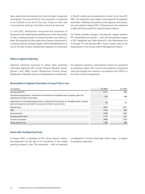been determined provisionally and have not been recognized accordingly. The accounting for the acquisition is expected to be finalized at the end of the year, based on facts and circumstances existing at the date control was assumed.

In June 2021, Bertelsmann announced the acquisition of 25 percent of the capital shares and 46 percent of the voting rights in Afya, a leading provider of medical education and training in Brazil. By acquiring the Afya shares from Crescera Educacional II, a fund launched by Crescera Capital in 2014 with Bertelsmann as one of the lead investors, Bertelsmann expands its involvement in Brazil's rapidly growing education market. As of June 30, 2021, the transaction was subject to the approval of regulatory authorities. Following the granting of this approval, the transaction was closed in August 2021. Going forward, the investment in Afya will be accounted for using the equity method.

For further portfolio changes, including the merger between RTL Deutschland and Gruner + Jahr, and the planned mergers of RTL Nederland and Talpa Network in the Netherlands and of Groupe TF1 and Groupe M6 in France, please refer to the explanations in the Group Interim Management Report.

## **Notes on Segment Reporting**

Segment reporting continues to reflect eight operating reportable segments (RTL Group, Penguin Random House, Gruner + Jahr, BMG, Arvato, Bertelsmann Printing Group, Bertelsmann Education Group and Bertelsmann Investments). For segment reporting, intercompany leases are presented as operating leases with income and expenses recognized using the straight-line method in accordance with IFRS 8, in line with internal management.

#### **Reconciliation of Segment Information to Group Profit or Loss**

| in $\epsilon$ millions                                                                                                                                                      | H <sub>1</sub> 2021 | H <sub>1</sub> 2020 |
|-----------------------------------------------------------------------------------------------------------------------------------------------------------------------------|---------------------|---------------------|
| <b>Operating EBITDA</b>                                                                                                                                                     | 1.417               |                     |
| Amortization/depreciation, impairment and reversals on intangible assets, property, plant and<br>equipment and right-of-use assets                                          | 424                 |                     |
| Adjustments on amortization/depreciation, impairment and reversals on intangible assets, property,<br>plant and equipment and right-of-use assets included in special items | 19                  |                     |
| Special items                                                                                                                                                               |                     |                     |
| EBIT                                                                                                                                                                        | 1.929               | 805                 |
| Financial result                                                                                                                                                            | (155)               | 84)                 |
| Larnings before taxes                                                                                                                                                       | 1 774               |                     |
| Income tax expense                                                                                                                                                          |                     |                     |
| Group profit or loss                                                                                                                                                        | .368                |                     |

### **Events after the Reporting Period**

In August 2021, a subsidiary of RTL Group signed a definitive agreement for the sale of its investment in the mobile gaming company Ludia. The transaction – with an expected

consideration in the low three-digit million range – is subject to regulatory approvals.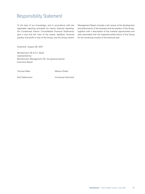## Responsibility Statement

To the best of our knowledge, and in accordance with the applicable reporting principles for interim financial reporting, the Condensed Interim Consolidated Financial Statements give a true and fair view of the assets, liabilities, financial position and profit or loss of the Group, and the Group Interim

Management Report includes a fair review of the development and performance of the business and the position of the Group, together with a description of the material opportunities and risks associated with the expected performance of the Group for the remaining months of the financial year.

Gütersloh, August 26, 2021

Bertelsmann SE & Co. KGaA represented by: Bertelsmann Management SE, the general partner Executive Board

Thomas Rabe Markus Dohle

Rolf Hellermann **Immanuel Hermreck**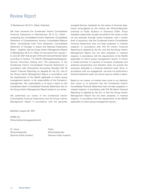## Review Report

## To Bertelsmann SE & Co. KGaA, Gütersloh

We have reviewed the Condensed Interim Consolidated Financial Statements of Bertelsmann SE & Co. KGaA – comprising the Consolidated Income Statement, Consolidated Statement of Comprehensive Income, Consolidated Balance Sheet, Consolidated Cash Flow Statement, Consolidated Statement of Changes in Equity and Selected Explanatory Notes – together with the Group Interim Management Report of Bertelsmann SE & Co. KGaA, for the period from January 1 to June 30, 2021 that are part of the semi-annual financial report according to Section 115 WpHG [Wertpapierhandelsgesetz: German Securities Trading Act]. The preparation of the Condensed Interim Consolidated Financial Statements in accordance with International Accounting Standard IAS 34 Interim Financial Reporting as adopted by the EU, and of the Group Interim Management Report in accordance with the requirements of the WpHG applicable to interim group management reports, is the responsibility of the Company's management. Our responsibility is to issue a report on the Condensed Interim Consolidated Financial Statements and on the Group Interim Management Report based on our review.

We performed our review of the Condensed Interim Consolidated Financial Statements and the Group Interim Management Report in accordance with the generally

Bielefeld, August 30, 2021

KPMG AG Wirtschaftsprüfungsgesellschaft

Dr. Tonne Thiele Wirtschaftsprüfer Wirtschaftsprüfer [German Public Auditor] [German Public Auditor]

accepted German standards for the review of financial statements promulgated by the Institut der Wirtschaftsprüfer [Institute of Public Auditors in Germany] (IDW). Those standards require that we plan and perform the review so that we can preclude, through critical evaluation, with a certain level of assurance, that the Condensed Interim Consolidated Financial Statements have not been prepared, in material respects, in accordance with IAS 34 Interim Financial Reporting as adopted by the EU, and that the Group Interim Management Report has not been prepared, in material respects, in accordance with the requirements of the WpHG applicable to interim group management reports. A review is limited primarily to inquiries of company employees and analytical assessments and therefore does not provide the assurance attainable in a financial statement audit. Since, in accordance with our engagement, we have not performed a financial statement audit, we cannot issue an auditor's report.

Based on our review, no matters have come to our attention that cause us to presume that the Condensed Interim Consolidated Financial Statements have not been prepared, in material respects, in accordance with IAS 34 Interim Financial Reporting as adopted by the EU, or that the Group Interim Management Report has not been prepared, in material respects, in accordance with the requirements of the WpHG applicable to interim group management reports.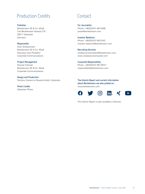## Production Credits

## **Publisher**

Bertelsmann SE & Co. KGaA Carl-Bertelsmann-Strasse 270 33311 Gütersloh Germany

## **Responsible**

Karin Schlautmann Bertelsmann SE & Co. KGaA Executive Vice President Corporate Communications

## **Project Management**

Simone Fratczak Bertelsmann SE & Co. KGaA Corporate Communications

## **Design and Production**

Territory Content to Results GmbH, Gütersloh

**Photo Credits** Sebastian Pfütze

## Contact

**For Journalists** Phone: +49 (0) 52 41-80-24 66 [press@bertelsmann.com](mailto:press@bertelsmann.com )

## **Investor Relations**

Phone: +49 (0) 52 41-80-23 42 [investor.relations@bertelsmann.com](mailto:investor.relations@bertelsmann.com )

## **Recruiting Services**

[createyourowncareer@bertelsmann.com](mailto:createyourowncareer@bertelsmann.com) [www.createyourowncareer.com](http://www.createyourowncareer.com)

## **Corporate Responsibility**

Phone: +49 (0) 52 41-80-750 21 [responsibility@bertelsmann.com](mailto:responsibility@bertelsmann.com)

**The Interim Report and current information about Bertelsmann are also posted on:**  [www.bertelsmann.com](http://www.bertelsmann.com)



The Interim Report is also available in German.